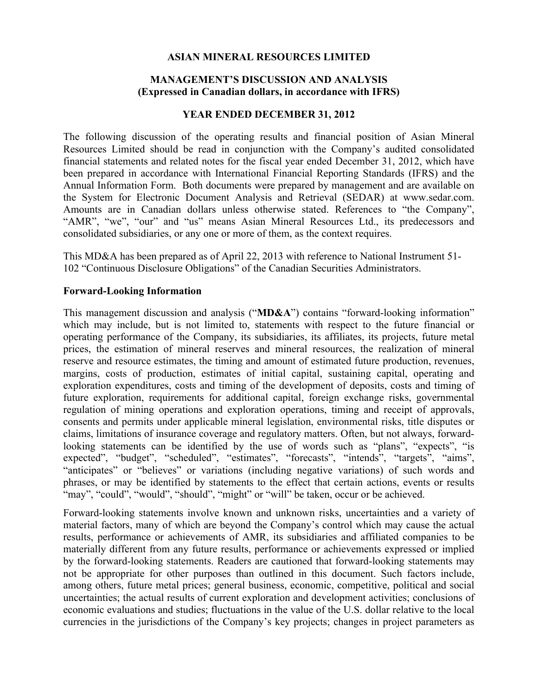### **ASIAN MINERAL RESOURCES LIMITED**

### **MANAGEMENT'S DISCUSSION AND ANALYSIS (Expressed in Canadian dollars, in accordance with IFRS)**

#### **YEAR ENDED DECEMBER 31, 2012**

The following discussion of the operating results and financial position of Asian Mineral Resources Limited should be read in conjunction with the Company's audited consolidated financial statements and related notes for the fiscal year ended December 31, 2012, which have been prepared in accordance with International Financial Reporting Standards (IFRS) and the Annual Information Form. Both documents were prepared by management and are available on the System for Electronic Document Analysis and Retrieval (SEDAR) at www.sedar.com. Amounts are in Canadian dollars unless otherwise stated. References to "the Company", "AMR", "we", "our" and "us" means Asian Mineral Resources Ltd., its predecessors and consolidated subsidiaries, or any one or more of them, as the context requires.

This MD&A has been prepared as of April 22, 2013 with reference to National Instrument 51- 102 "Continuous Disclosure Obligations" of the Canadian Securities Administrators.

#### **Forward-Looking Information**

This management discussion and analysis ("**MD&A**") contains "forward-looking information" which may include, but is not limited to, statements with respect to the future financial or operating performance of the Company, its subsidiaries, its affiliates, its projects, future metal prices, the estimation of mineral reserves and mineral resources, the realization of mineral reserve and resource estimates, the timing and amount of estimated future production, revenues, margins, costs of production, estimates of initial capital, sustaining capital, operating and exploration expenditures, costs and timing of the development of deposits, costs and timing of future exploration, requirements for additional capital, foreign exchange risks, governmental regulation of mining operations and exploration operations, timing and receipt of approvals, consents and permits under applicable mineral legislation, environmental risks, title disputes or claims, limitations of insurance coverage and regulatory matters. Often, but not always, forwardlooking statements can be identified by the use of words such as "plans", "expects", "is expected", "budget", "scheduled", "estimates", "forecasts", "intends", "targets", "aims", "anticipates" or "believes" or variations (including negative variations) of such words and phrases, or may be identified by statements to the effect that certain actions, events or results "may", "could", "would", "should", "might" or "will" be taken, occur or be achieved.

Forward-looking statements involve known and unknown risks, uncertainties and a variety of material factors, many of which are beyond the Company's control which may cause the actual results, performance or achievements of AMR, its subsidiaries and affiliated companies to be materially different from any future results, performance or achievements expressed or implied by the forward-looking statements. Readers are cautioned that forward-looking statements may not be appropriate for other purposes than outlined in this document. Such factors include, among others, future metal prices; general business, economic, competitive, political and social uncertainties; the actual results of current exploration and development activities; conclusions of economic evaluations and studies; fluctuations in the value of the U.S. dollar relative to the local currencies in the jurisdictions of the Company's key projects; changes in project parameters as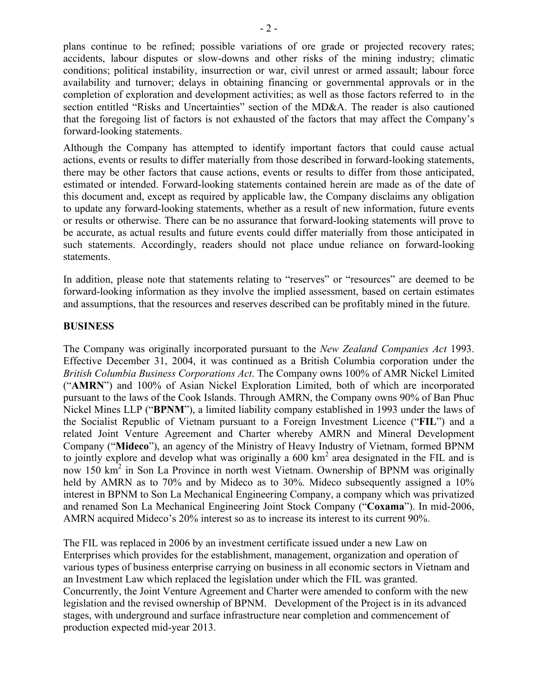plans continue to be refined; possible variations of ore grade or projected recovery rates; accidents, labour disputes or slow-downs and other risks of the mining industry; climatic conditions; political instability, insurrection or war, civil unrest or armed assault; labour force availability and turnover; delays in obtaining financing or governmental approvals or in the completion of exploration and development activities; as well as those factors referred to in the section entitled "Risks and Uncertainties" section of the MD&A. The reader is also cautioned that the foregoing list of factors is not exhausted of the factors that may affect the Company's forward-looking statements.

Although the Company has attempted to identify important factors that could cause actual actions, events or results to differ materially from those described in forward-looking statements, there may be other factors that cause actions, events or results to differ from those anticipated, estimated or intended. Forward-looking statements contained herein are made as of the date of this document and, except as required by applicable law, the Company disclaims any obligation to update any forward-looking statements, whether as a result of new information, future events or results or otherwise. There can be no assurance that forward-looking statements will prove to be accurate, as actual results and future events could differ materially from those anticipated in such statements. Accordingly, readers should not place undue reliance on forward-looking statements.

In addition, please note that statements relating to "reserves" or "resources" are deemed to be forward-looking information as they involve the implied assessment, based on certain estimates and assumptions, that the resources and reserves described can be profitably mined in the future.

### **BUSINESS**

The Company was originally incorporated pursuant to the *New Zealand Companies Act* 1993. Effective December 31, 2004, it was continued as a British Columbia corporation under the *British Columbia Business Corporations Act*. The Company owns 100% of AMR Nickel Limited ("**AMRN**") and 100% of Asian Nickel Exploration Limited, both of which are incorporated pursuant to the laws of the Cook Islands. Through AMRN, the Company owns 90% of Ban Phuc Nickel Mines LLP ("**BPNM**"), a limited liability company established in 1993 under the laws of the Socialist Republic of Vietnam pursuant to a Foreign Investment Licence ("**FIL**") and a related Joint Venture Agreement and Charter whereby AMRN and Mineral Development Company ("**Mideco**"), an agency of the Ministry of Heavy Industry of Vietnam, formed BPNM to jointly explore and develop what was originally a  $600 \text{ km}^2$  area designated in the FIL and is now 150 km<sup>2</sup> in Son La Province in north west Vietnam. Ownership of BPNM was originally held by AMRN as to 70% and by Mideco as to 30%. Mideco subsequently assigned a 10% interest in BPNM to Son La Mechanical Engineering Company, a company which was privatized and renamed Son La Mechanical Engineering Joint Stock Company ("**Coxama**"). In mid-2006, AMRN acquired Mideco's 20% interest so as to increase its interest to its current 90%.

The FIL was replaced in 2006 by an investment certificate issued under a new Law on Enterprises which provides for the establishment, management, organization and operation of various types of business enterprise carrying on business in all economic sectors in Vietnam and an Investment Law which replaced the legislation under which the FIL was granted. Concurrently, the Joint Venture Agreement and Charter were amended to conform with the new legislation and the revised ownership of BPNM. Development of the Project is in its advanced stages, with underground and surface infrastructure near completion and commencement of production expected mid-year 2013.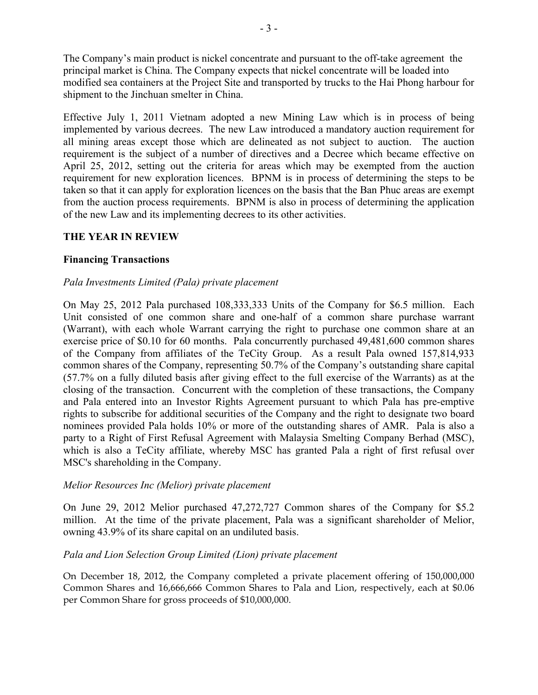The Company's main product is nickel concentrate and pursuant to the off-take agreement the principal market is China. The Company expects that nickel concentrate will be loaded into modified sea containers at the Project Site and transported by trucks to the Hai Phong harbour for shipment to the Jinchuan smelter in China.

Effective July 1, 2011 Vietnam adopted a new Mining Law which is in process of being implemented by various decrees. The new Law introduced a mandatory auction requirement for all mining areas except those which are delineated as not subject to auction. The auction requirement is the subject of a number of directives and a Decree which became effective on April 25, 2012, setting out the criteria for areas which may be exempted from the auction requirement for new exploration licences. BPNM is in process of determining the steps to be taken so that it can apply for exploration licences on the basis that the Ban Phuc areas are exempt from the auction process requirements. BPNM is also in process of determining the application of the new Law and its implementing decrees to its other activities.

### **THE YEAR IN REVIEW**

## **Financing Transactions**

### *Pala Investments Limited (Pala) private placement*

On May 25, 2012 Pala purchased 108,333,333 Units of the Company for \$6.5 million. Each Unit consisted of one common share and one-half of a common share purchase warrant (Warrant), with each whole Warrant carrying the right to purchase one common share at an exercise price of \$0.10 for 60 months. Pala concurrently purchased 49,481,600 common shares of the Company from affiliates of the TeCity Group. As a result Pala owned 157,814,933 common shares of the Company, representing 50.7% of the Company's outstanding share capital (57.7% on a fully diluted basis after giving effect to the full exercise of the Warrants) as at the closing of the transaction. Concurrent with the completion of these transactions, the Company and Pala entered into an Investor Rights Agreement pursuant to which Pala has pre-emptive rights to subscribe for additional securities of the Company and the right to designate two board nominees provided Pala holds 10% or more of the outstanding shares of AMR. Pala is also a party to a Right of First Refusal Agreement with Malaysia Smelting Company Berhad (MSC), which is also a TeCity affiliate, whereby MSC has granted Pala a right of first refusal over MSC's shareholding in the Company.

### *Melior Resources Inc (Melior) private placement*

On June 29, 2012 Melior purchased 47,272,727 Common shares of the Company for \$5.2 million. At the time of the private placement, Pala was a significant shareholder of Melior, owning 43.9% of its share capital on an undiluted basis.

### *Pala and Lion Selection Group Limited (Lion) private placement*

On December 18, 2012, the Company completed a private placement offering of 150,000,000 Common Shares and 16,666,666 Common Shares to Pala and Lion, respectively, each at \$0.06 per Common Share for gross proceeds of \$10,000,000.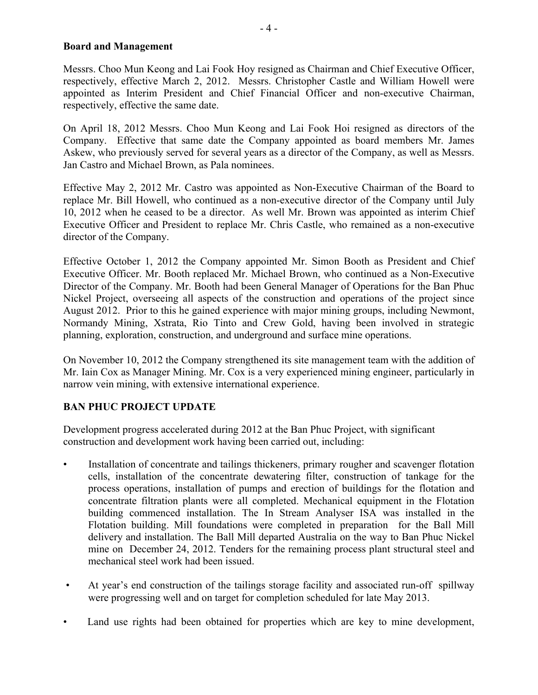### **Board and Management**

Messrs. Choo Mun Keong and Lai Fook Hoy resigned as Chairman and Chief Executive Officer, respectively, effective March 2, 2012. Messrs. Christopher Castle and William Howell were appointed as Interim President and Chief Financial Officer and non-executive Chairman, respectively, effective the same date.

On April 18, 2012 Messrs. Choo Mun Keong and Lai Fook Hoi resigned as directors of the Company. Effective that same date the Company appointed as board members Mr. James Askew, who previously served for several years as a director of the Company, as well as Messrs. Jan Castro and Michael Brown, as Pala nominees.

Effective May 2, 2012 Mr. Castro was appointed as Non-Executive Chairman of the Board to replace Mr. Bill Howell, who continued as a non-executive director of the Company until July 10, 2012 when he ceased to be a director. As well Mr. Brown was appointed as interim Chief Executive Officer and President to replace Mr. Chris Castle, who remained as a non-executive director of the Company.

Effective October 1, 2012 the Company appointed Mr. Simon Booth as President and Chief Executive Officer. Mr. Booth replaced Mr. Michael Brown, who continued as a Non-Executive Director of the Company. Mr. Booth had been General Manager of Operations for the Ban Phuc Nickel Project, overseeing all aspects of the construction and operations of the project since August 2012. Prior to this he gained experience with major mining groups, including Newmont, Normandy Mining, Xstrata, Rio Tinto and Crew Gold, having been involved in strategic planning, exploration, construction, and underground and surface mine operations.

On November 10, 2012 the Company strengthened its site management team with the addition of Mr. Iain Cox as Manager Mining. Mr. Cox is a very experienced mining engineer, particularly in narrow vein mining, with extensive international experience.

# **BAN PHUC PROJECT UPDATE**

Development progress accelerated during 2012 at the Ban Phuc Project, with significant construction and development work having been carried out, including:

- Installation of concentrate and tailings thickeners, primary rougher and scavenger flotation cells, installation of the concentrate dewatering filter, construction of tankage for the process operations, installation of pumps and erection of buildings for the flotation and concentrate filtration plants were all completed. Mechanical equipment in the Flotation building commenced installation. The In Stream Analyser ISA was installed in the Flotation building. Mill foundations were completed in preparation for the Ball Mill delivery and installation. The Ball Mill departed Australia on the way to Ban Phuc Nickel mine on December 24, 2012. Tenders for the remaining process plant structural steel and mechanical steel work had been issued.
- At year's end construction of the tailings storage facility and associated run-off spillway were progressing well and on target for completion scheduled for late May 2013.
- Land use rights had been obtained for properties which are key to mine development,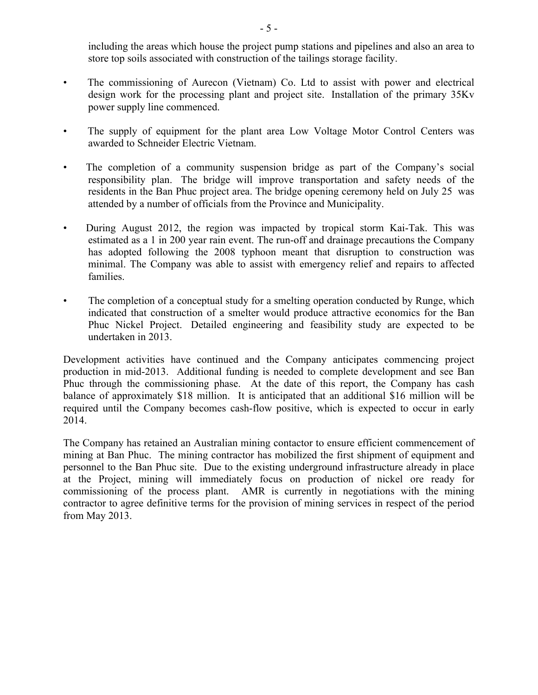including the areas which house the project pump stations and pipelines and also an area to store top soils associated with construction of the tailings storage facility.

- The commissioning of Aurecon (Vietnam) Co. Ltd to assist with power and electrical design work for the processing plant and project site. Installation of the primary 35Kv power supply line commenced.
- The supply of equipment for the plant area Low Voltage Motor Control Centers was awarded to Schneider Electric Vietnam.
- The completion of a community suspension bridge as part of the Company's social responsibility plan. The bridge will improve transportation and safety needs of the residents in the Ban Phuc project area. The bridge opening ceremony held on July 25 was attended by a number of officials from the Province and Municipality.
- During August 2012, the region was impacted by tropical storm Kai-Tak. This was estimated as a 1 in 200 year rain event. The run-off and drainage precautions the Company has adopted following the 2008 typhoon meant that disruption to construction was minimal. The Company was able to assist with emergency relief and repairs to affected families.
- The completion of a conceptual study for a smelting operation conducted by Runge, which indicated that construction of a smelter would produce attractive economics for the Ban Phuc Nickel Project. Detailed engineering and feasibility study are expected to be undertaken in 2013.

Development activities have continued and the Company anticipates commencing project production in mid-2013. Additional funding is needed to complete development and see Ban Phuc through the commissioning phase. At the date of this report, the Company has cash balance of approximately \$18 million. It is anticipated that an additional \$16 million will be required until the Company becomes cash-flow positive, which is expected to occur in early 2014.

The Company has retained an Australian mining contactor to ensure efficient commencement of mining at Ban Phuc. The mining contractor has mobilized the first shipment of equipment and personnel to the Ban Phuc site. Due to the existing underground infrastructure already in place at the Project, mining will immediately focus on production of nickel ore ready for commissioning of the process plant. AMR is currently in negotiations with the mining contractor to agree definitive terms for the provision of mining services in respect of the period from May 2013.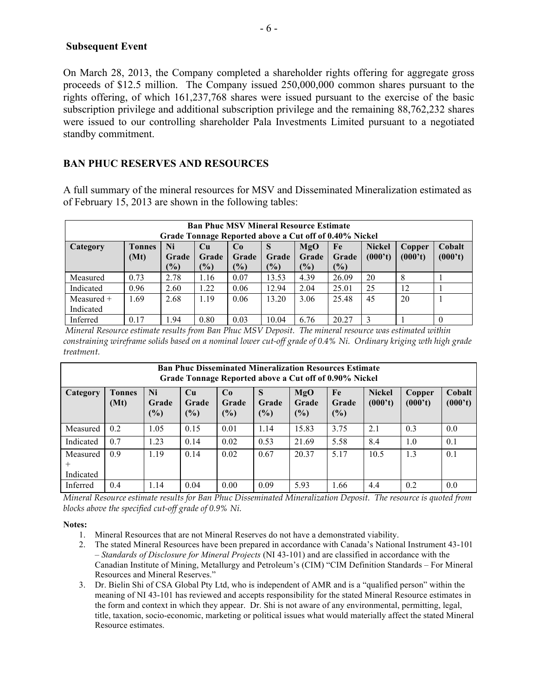#### **Subsequent Event**

On March 28, 2013, the Company completed a shareholder rights offering for aggregate gross proceeds of \$12.5 million. The Company issued 250,000,000 common shares pursuant to the rights offering, of which 161,237,768 shares were issued pursuant to the exercise of the basic subscription privilege and additional subscription privilege and the remaining 88,762,232 shares were issued to our controlling shareholder Pala Investments Limited pursuant to a negotiated standby commitment.

# **BAN PHUC RESERVES AND RESOURCES**

A full summary of the mineral resources for MSV and Disseminated Mineralization estimated as of February 15, 2013 are shown in the following tables:

| <b>Ban Phuc MSV Mineral Resource Estimate</b><br>Grade Tonnage Reported above a Cut off of 0.40% Nickel |                                                                                        |       |        |       |               |       |       |         |         |         |
|---------------------------------------------------------------------------------------------------------|----------------------------------------------------------------------------------------|-------|--------|-------|---------------|-------|-------|---------|---------|---------|
| Category                                                                                                | <b>Tonnes</b><br>Cobalt<br>Ni<br><b>Nickel</b><br>MgO<br>Cu<br>Fe<br>Co<br>Copper<br>S |       |        |       |               |       |       |         |         |         |
|                                                                                                         | (Mt)                                                                                   | Grade | Grade  | Grade | Grade         | Grade | Grade | (000't) | (000't) | (000't) |
|                                                                                                         |                                                                                        | (%)   | $($ %) | (%)   | $\frac{1}{2}$ | (%)   | (%)   |         |         |         |
| Measured                                                                                                | 0.73                                                                                   | 2.78  | 1.16   | 0.07  | 13.53         | 4.39  | 26.09 | 20      | 8       |         |
| Indicated                                                                                               | 0.96                                                                                   | 2.60  | 1.22   | 0.06  | 12.94         | 2.04  | 25.01 | 25      | 12      |         |
| $Measured +$                                                                                            | 1.69                                                                                   | 2.68  | 1.19   | 0.06  | 13.20         | 3.06  | 25.48 | 45      | 20      |         |
| Indicated                                                                                               |                                                                                        |       |        |       |               |       |       |         |         |         |
| Inferred                                                                                                | 0.17                                                                                   | 1.94  | 0.80   | 0.03  | 10.04         | 6.76  | 20.27 | 3       |         |         |

*Mineral Resource estimate results from Ban Phuc MSV Deposit. The mineral resource was estimated within constraining wireframe solids based on a nominal lower cut-off grade of 0.4% Ni. Ordinary kriging wth high grade treatment.*

| <b>Ban Phuc Disseminated Mineralization Resources Estimate</b><br>Grade Tonnage Reported above a Cut off of 0.90% Nickel |                       |                       |                       |                    |                   |                     |                    |                          |                          |                   |
|--------------------------------------------------------------------------------------------------------------------------|-----------------------|-----------------------|-----------------------|--------------------|-------------------|---------------------|--------------------|--------------------------|--------------------------|-------------------|
| Category                                                                                                                 | <b>Tonnes</b><br>(Mt) | Ni<br>Grade<br>$(\%)$ | Cu<br>Grade<br>$(\%)$ | Co<br>Grade<br>(%) | S<br>Grade<br>(%) | MgO<br>Grade<br>(%) | Fe<br>Grade<br>(%) | <b>Nickel</b><br>(000't) | <b>Copper</b><br>(000't) | Cobalt<br>(000't) |
| Measured                                                                                                                 | 0.2                   | 1.05                  | 0.15                  | 0.01               | 1.14              | 15.83               | 3.75               | 2.1                      | 0.3                      | 0.0               |
| Indicated                                                                                                                | 0.7                   | 1.23                  | 0.14                  | 0.02               | 0.53              | 21.69               | 5.58               | 8.4                      | 1.0                      | 0.1               |
| Measured<br>Indicated                                                                                                    | 0.9                   | 1.19                  | 0.14                  | 0.02               | 0.67              | 20.37               | 5.17               | 10.5                     | 1.3                      | 0.1               |
| Inferred                                                                                                                 | 0.4                   | 1.14                  | 0.04                  | 0.00               | 0.09              | 5.93                | 1.66               | 4.4                      | 0.2                      | 0.0               |

*Mineral Resource estimate results for Ban Phuc Disseminated Mineralization Deposit. The resource is quoted from blocks above the specified cut-off grade of 0.9% Ni.*

#### **Notes:**

- 1. Mineral Resources that are not Mineral Reserves do not have a demonstrated viability.
- 2. The stated Mineral Resources have been prepared in accordance with Canada's National Instrument 43-101 – *Standards of Disclosure for Mineral Projects* (NI 43-101) and are classified in accordance with the Canadian Institute of Mining, Metallurgy and Petroleum's (CIM) "CIM Definition Standards – For Mineral Resources and Mineral Reserves."
- 3. Dr. Bielin Shi of CSA Global Pty Ltd, who is independent of AMR and is a "qualified person" within the meaning of NI 43-101 has reviewed and accepts responsibility for the stated Mineral Resource estimates in the form and context in which they appear. Dr. Shi is not aware of any environmental, permitting, legal, title, taxation, socio-economic, marketing or political issues what would materially affect the stated Mineral Resource estimates.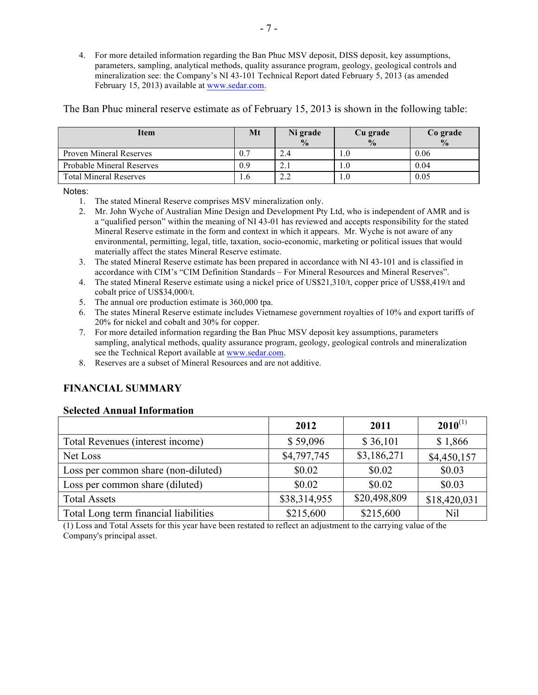4. For more detailed information regarding the Ban Phuc MSV deposit, DISS deposit, key assumptions, parameters, sampling, analytical methods, quality assurance program, geology, geological controls and mineralization see: the Company's NI 43-101 Technical Report dated February 5, 2013 (as amended February 15, 2013) available at www.sedar.com.

The Ban Phuc mineral reserve estimate as of February 15, 2013 is shown in the following table:

| Item                             | Mt               | Ni grade<br>$\frac{0}{0}$ | Cu grade<br>$\frac{0}{0}$ | Co grade<br>$\frac{0}{0}$ |
|----------------------------------|------------------|---------------------------|---------------------------|---------------------------|
| <b>Proven Mineral Reserves</b>   | $\overline{0}$ . | 2.4                       |                           | 0.06                      |
| <b>Probable Mineral Reserves</b> | 0.9              | $\sim$ 1<br>2. I          |                           | 0.04                      |
| <b>Total Mineral Reserves</b>    | .0               | 2.2                       |                           | 0.05                      |

Notes:

- 1. The stated Mineral Reserve comprises MSV mineralization only.
- 2. Mr. John Wyche of Australian Mine Design and Development Pty Ltd, who is independent of AMR and is a "qualified person" within the meaning of NI 43-01 has reviewed and accepts responsibility for the stated Mineral Reserve estimate in the form and context in which it appears. Mr. Wyche is not aware of any environmental, permitting, legal, title, taxation, socio-economic, marketing or political issues that would materially affect the states Mineral Reserve estimate.
- 3. The stated Mineral Reserve estimate has been prepared in accordance with NI 43-101 and is classified in accordance with CIM's "CIM Definition Standards – For Mineral Resources and Mineral Reserves".
- 4. The stated Mineral Reserve estimate using a nickel price of US\$21,310/t, copper price of US\$8,419/t and cobalt price of US\$34,000/t.
- 5. The annual ore production estimate is 360,000 tpa.
- 6. The states Mineral Reserve estimate includes Vietnamese government royalties of 10% and export tariffs of 20% for nickel and cobalt and 30% for copper.
- 7. For more detailed information regarding the Ban Phuc MSV deposit key assumptions, parameters sampling, analytical methods, quality assurance program, geology, geological controls and mineralization see the Technical Report available at www.sedar.com.
- 8. Reserves are a subset of Mineral Resources and are not additive.

# **FINANCIAL SUMMARY**

#### **Selected Annual Information**

|                                       | 2012         | 2011         | $2010^{(1)}$ |
|---------------------------------------|--------------|--------------|--------------|
| Total Revenues (interest income)      | \$59,096     | \$36,101     | \$1,866      |
| Net Loss                              | \$4,797,745  | \$3,186,271  | \$4,450,157  |
| Loss per common share (non-diluted)   | \$0.02       | \$0.02       | \$0.03       |
| Loss per common share (diluted)       | \$0.02       | \$0.02       | \$0.03       |
| <b>Total Assets</b>                   | \$38,314,955 | \$20,498,809 | \$18,420,031 |
| Total Long term financial liabilities | \$215,600    | \$215,600    | Nil          |

(1) Loss and Total Assets for this year have been restated to reflect an adjustment to the carrying value of the Company's principal asset.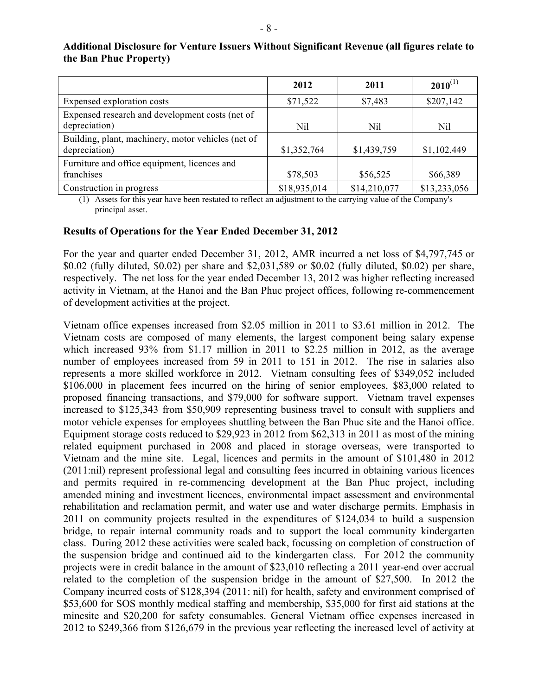|                                                                     | 2012         | 2011         | $2010^{(1)}$ |
|---------------------------------------------------------------------|--------------|--------------|--------------|
| Expensed exploration costs                                          | \$71,522     | \$7,483      | \$207,142    |
| Expensed research and development costs (net of<br>depreciation)    | Nil          | Nil          | Nil          |
| Building, plant, machinery, motor vehicles (net of<br>depreciation) | \$1,352,764  | \$1,439,759  | \$1,102,449  |
| Furniture and office equipment, licences and<br>franchises          | \$78,503     | \$56,525     | \$66,389     |
| Construction in progress                                            | \$18,935,014 | \$14,210,077 | \$13,233,056 |

### **Additional Disclosure for Venture Issuers Without Significant Revenue (all figures relate to the Ban Phuc Property)**

(1) Assets for this year have been restated to reflect an adjustment to the carrying value of the Company's principal asset.

### **Results of Operations for the Year Ended December 31, 2012**

For the year and quarter ended December 31, 2012, AMR incurred a net loss of \$4,797,745 or \$0.02 (fully diluted, \$0.02) per share and \$2,031,589 or \$0.02 (fully diluted, \$0.02) per share, respectively. The net loss for the year ended December 13, 2012 was higher reflecting increased activity in Vietnam, at the Hanoi and the Ban Phuc project offices, following re-commencement of development activities at the project.

Vietnam office expenses increased from \$2.05 million in 2011 to \$3.61 million in 2012. The Vietnam costs are composed of many elements, the largest component being salary expense which increased 93% from \$1.17 million in 2011 to \$2.25 million in 2012, as the average number of employees increased from 59 in 2011 to 151 in 2012. The rise in salaries also represents a more skilled workforce in 2012. Vietnam consulting fees of \$349,052 included \$106,000 in placement fees incurred on the hiring of senior employees, \$83,000 related to proposed financing transactions, and \$79,000 for software support. Vietnam travel expenses increased to \$125,343 from \$50,909 representing business travel to consult with suppliers and motor vehicle expenses for employees shuttling between the Ban Phuc site and the Hanoi office. Equipment storage costs reduced to \$29,923 in 2012 from \$62,313 in 2011 as most of the mining related equipment purchased in 2008 and placed in storage overseas, were transported to Vietnam and the mine site. Legal, licences and permits in the amount of \$101,480 in 2012 (2011:nil) represent professional legal and consulting fees incurred in obtaining various licences and permits required in re-commencing development at the Ban Phuc project, including amended mining and investment licences, environmental impact assessment and environmental rehabilitation and reclamation permit, and water use and water discharge permits. Emphasis in 2011 on community projects resulted in the expenditures of \$124,034 to build a suspension bridge, to repair internal community roads and to support the local community kindergarten class. During 2012 these activities were scaled back, focussing on completion of construction of the suspension bridge and continued aid to the kindergarten class. For 2012 the community projects were in credit balance in the amount of \$23,010 reflecting a 2011 year-end over accrual related to the completion of the suspension bridge in the amount of \$27,500. In 2012 the Company incurred costs of \$128,394 (2011: nil) for health, safety and environment comprised of \$53,600 for SOS monthly medical staffing and membership, \$35,000 for first aid stations at the minesite and \$20,200 for safety consumables. General Vietnam office expenses increased in 2012 to \$249,366 from \$126,679 in the previous year reflecting the increased level of activity at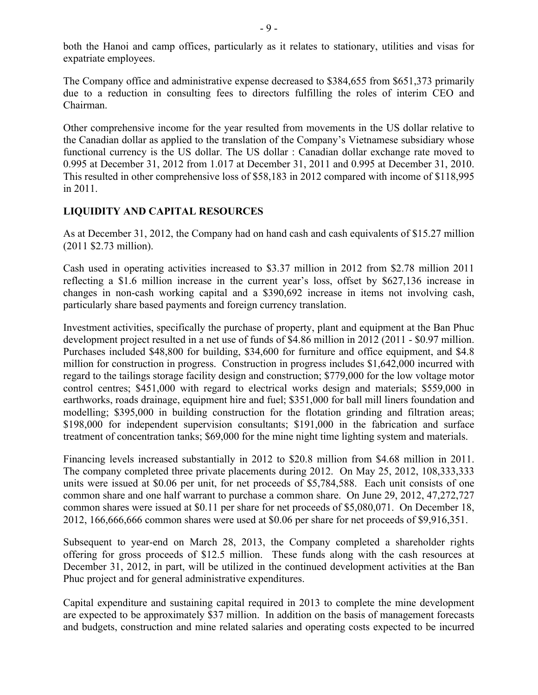both the Hanoi and camp offices, particularly as it relates to stationary, utilities and visas for expatriate employees.

The Company office and administrative expense decreased to \$384,655 from \$651,373 primarily due to a reduction in consulting fees to directors fulfilling the roles of interim CEO and Chairman.

Other comprehensive income for the year resulted from movements in the US dollar relative to the Canadian dollar as applied to the translation of the Company's Vietnamese subsidiary whose functional currency is the US dollar. The US dollar : Canadian dollar exchange rate moved to 0.995 at December 31, 2012 from 1.017 at December 31, 2011 and 0.995 at December 31, 2010. This resulted in other comprehensive loss of \$58,183 in 2012 compared with income of \$118,995 in 2011.

## **LIQUIDITY AND CAPITAL RESOURCES**

As at December 31, 2012, the Company had on hand cash and cash equivalents of \$15.27 million (2011 \$2.73 million).

Cash used in operating activities increased to \$3.37 million in 2012 from \$2.78 million 2011 reflecting a \$1.6 million increase in the current year's loss, offset by \$627,136 increase in changes in non-cash working capital and a \$390,692 increase in items not involving cash, particularly share based payments and foreign currency translation.

Investment activities, specifically the purchase of property, plant and equipment at the Ban Phuc development project resulted in a net use of funds of \$4.86 million in 2012 (2011 - \$0.97 million. Purchases included \$48,800 for building, \$34,600 for furniture and office equipment, and \$4.8 million for construction in progress. Construction in progress includes \$1,642,000 incurred with regard to the tailings storage facility design and construction; \$779,000 for the low voltage motor control centres; \$451,000 with regard to electrical works design and materials; \$559,000 in earthworks, roads drainage, equipment hire and fuel; \$351,000 for ball mill liners foundation and modelling; \$395,000 in building construction for the flotation grinding and filtration areas; \$198,000 for independent supervision consultants; \$191,000 in the fabrication and surface treatment of concentration tanks; \$69,000 for the mine night time lighting system and materials.

Financing levels increased substantially in 2012 to \$20.8 million from \$4.68 million in 2011. The company completed three private placements during 2012. On May 25, 2012, 108,333,333 units were issued at \$0.06 per unit, for net proceeds of \$5,784,588. Each unit consists of one common share and one half warrant to purchase a common share. On June 29, 2012, 47,272,727 common shares were issued at \$0.11 per share for net proceeds of \$5,080,071. On December 18, 2012, 166,666,666 common shares were used at \$0.06 per share for net proceeds of \$9,916,351.

Subsequent to year-end on March 28, 2013, the Company completed a shareholder rights offering for gross proceeds of \$12.5 million. These funds along with the cash resources at December 31, 2012, in part, will be utilized in the continued development activities at the Ban Phuc project and for general administrative expenditures.

Capital expenditure and sustaining capital required in 2013 to complete the mine development are expected to be approximately \$37 million. In addition on the basis of management forecasts and budgets, construction and mine related salaries and operating costs expected to be incurred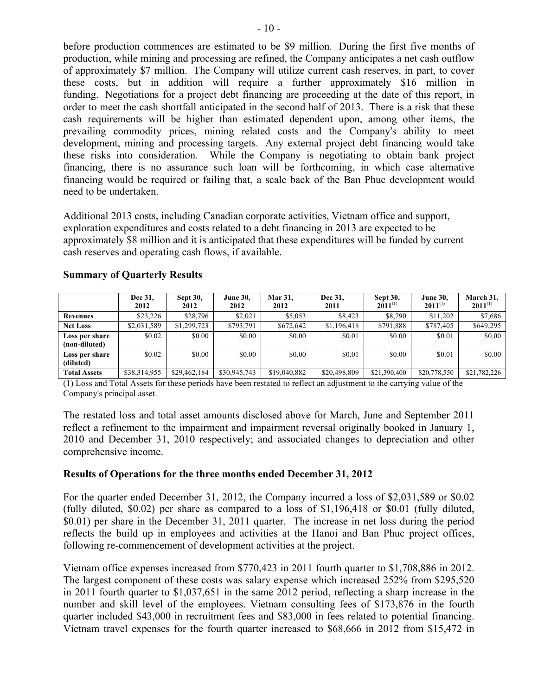before production commences are estimated to be \$9 million. During the first five months of production, while mining and processing are refined, the Company anticipates a net cash outflow of approximately \$7 million. The Company will utilize current cash reserves, in part, to cover these costs, but in addition will require a further approximately \$16 million in funding. Negotiations for a project debt financing are proceeding at the date of this report, in order to meet the cash shortfall anticipated in the second half of 2013. There is a risk that these cash requirements will be higher than estimated dependent upon, among other items, the prevailing commodity prices, mining related costs and the Company's ability to meet development, mining and processing targets. Any external project debt financing would take these risks into consideration. While the Company is negotiating to obtain bank project financing, there is no assurance such loan will be forthcoming, in which case alternative financing would be required or failing that, a scale back of the Ban Phuc development would need to be undertaken.

Additional 2013 costs, including Canadian corporate activities, Vietnam office and support, exploration expenditures and costs related to a debt financing in 2013 are expected to be approximately \$8 million and it is anticipated that these expenditures will be funded by current cash reserves and operating cash flows, if available.

|                                 | Dec 31,<br>2012 | <b>Sept 30,</b><br>2012 | <b>June 30,</b><br>2012 | Mar 31,<br>2012 | Dec 31.<br>2011 | <b>Sept 30,</b><br>$2011^{(1)}$ | <b>June 30,</b><br>$2011^{(1)}$ | March 31,<br>$2011^{(1)}$ |
|---------------------------------|-----------------|-------------------------|-------------------------|-----------------|-----------------|---------------------------------|---------------------------------|---------------------------|
| Revenues                        | \$23.226        | \$28,796                | \$2,021                 | \$5,053         | \$8,423         | \$8,790                         | \$11,202                        | \$7,686                   |
| <b>Net Loss</b>                 | \$2,031,589     | \$1,299,723             | \$793.791               | \$672,642       | \$1,196,418     | \$791,888                       | \$787,405                       | \$649,295                 |
| Loss per share<br>(non-diluted) | \$0.02          | \$0.00                  | \$0.00                  | \$0.00          | \$0.01          | \$0.00                          | \$0.01                          | \$0.00                    |
| Loss per share<br>(diluted)     | \$0.02          | \$0.00                  | \$0.00                  | \$0.00          | \$0.01          | \$0.00                          | \$0.01                          | \$0.00                    |
| <b>Total Assets</b>             | \$38,314,955    | \$29,462,184            | \$30,945,743            | \$19,040,882    | \$20,498,809    | \$21,390,400                    | \$20,778,550                    | \$21,782,226              |

### **Summary of Quarterly Results**

(1) Loss and Total Assets for these periods have been restated to reflect an adjustment to the carrying value of the Company's principal asset.

The restated loss and total asset amounts disclosed above for March, June and September 2011 reflect a refinement to the impairment and impairment reversal originally booked in January 1, 2010 and December 31, 2010 respectively; and associated changes to depreciation and other comprehensive income.

### **Results of Operations for the three months ended December 31, 2012**

For the quarter ended December 31, 2012, the Company incurred a loss of \$2,031,589 or \$0.02 (fully diluted, \$0.02) per share as compared to a loss of \$1,196,418 or \$0.01 (fully diluted, \$0.01) per share in the December 31, 2011 quarter. The increase in net loss during the period reflects the build up in employees and activities at the Hanoi and Ban Phuc project offices, following re-commencement of development activities at the project.

Vietnam office expenses increased from \$770,423 in 2011 fourth quarter to \$1,708,886 in 2012. The largest component of these costs was salary expense which increased 252% from \$295,520 in 2011 fourth quarter to \$1,037,651 in the same 2012 period, reflecting a sharp increase in the number and skill level of the employees. Vietnam consulting fees of \$173,876 in the fourth quarter included \$43,000 in recruitment fees and \$83,000 in fees related to potential financing. Vietnam travel expenses for the fourth quarter increased to \$68,666 in 2012 from \$15,472 in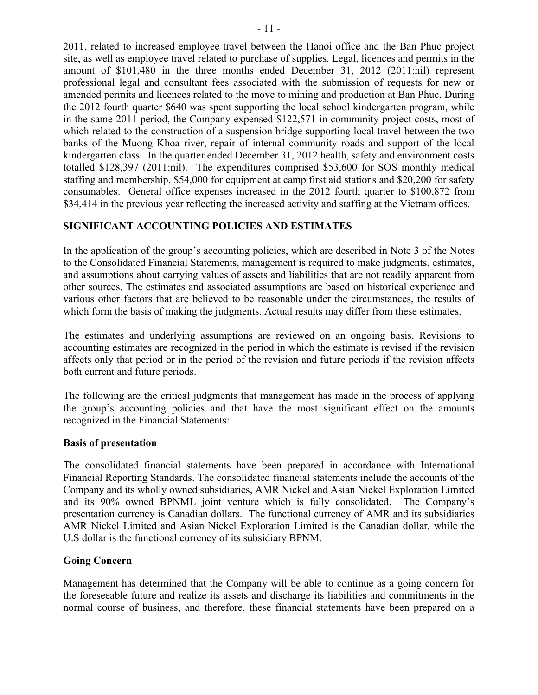2011, related to increased employee travel between the Hanoi office and the Ban Phuc project site, as well as employee travel related to purchase of supplies. Legal, licences and permits in the amount of \$101,480 in the three months ended December 31, 2012 (2011:nil) represent professional legal and consultant fees associated with the submission of requests for new or amended permits and licences related to the move to mining and production at Ban Phuc. During the 2012 fourth quarter \$640 was spent supporting the local school kindergarten program, while in the same 2011 period, the Company expensed \$122,571 in community project costs, most of which related to the construction of a suspension bridge supporting local travel between the two banks of the Muong Khoa river, repair of internal community roads and support of the local kindergarten class. In the quarter ended December 31, 2012 health, safety and environment costs totalled \$128,397 (2011:nil). The expenditures comprised \$53,600 for SOS monthly medical staffing and membership, \$54,000 for equipment at camp first aid stations and \$20,200 for safety consumables. General office expenses increased in the 2012 fourth quarter to \$100,872 from \$34,414 in the previous year reflecting the increased activity and staffing at the Vietnam offices.

# **SIGNIFICANT ACCOUNTING POLICIES AND ESTIMATES**

In the application of the group's accounting policies, which are described in Note 3 of the Notes to the Consolidated Financial Statements, management is required to make judgments, estimates, and assumptions about carrying values of assets and liabilities that are not readily apparent from other sources. The estimates and associated assumptions are based on historical experience and various other factors that are believed to be reasonable under the circumstances, the results of which form the basis of making the judgments. Actual results may differ from these estimates.

The estimates and underlying assumptions are reviewed on an ongoing basis. Revisions to accounting estimates are recognized in the period in which the estimate is revised if the revision affects only that period or in the period of the revision and future periods if the revision affects both current and future periods.

The following are the critical judgments that management has made in the process of applying the group's accounting policies and that have the most significant effect on the amounts recognized in the Financial Statements:

### **Basis of presentation**

The consolidated financial statements have been prepared in accordance with International Financial Reporting Standards. The consolidated financial statements include the accounts of the Company and its wholly owned subsidiaries, AMR Nickel and Asian Nickel Exploration Limited and its 90% owned BPNML joint venture which is fully consolidated. The Company's presentation currency is Canadian dollars. The functional currency of AMR and its subsidiaries AMR Nickel Limited and Asian Nickel Exploration Limited is the Canadian dollar, while the U.S dollar is the functional currency of its subsidiary BPNM.

# **Going Concern**

Management has determined that the Company will be able to continue as a going concern for the foreseeable future and realize its assets and discharge its liabilities and commitments in the normal course of business, and therefore, these financial statements have been prepared on a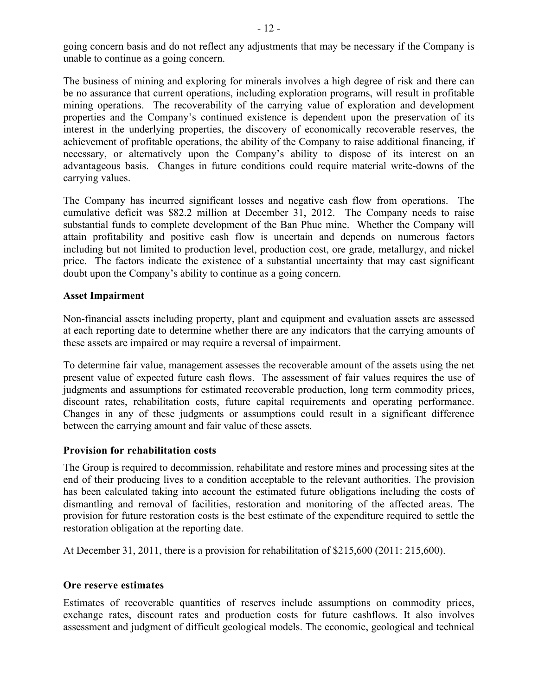going concern basis and do not reflect any adjustments that may be necessary if the Company is unable to continue as a going concern.

The business of mining and exploring for minerals involves a high degree of risk and there can be no assurance that current operations, including exploration programs, will result in profitable mining operations. The recoverability of the carrying value of exploration and development properties and the Company's continued existence is dependent upon the preservation of its interest in the underlying properties, the discovery of economically recoverable reserves, the achievement of profitable operations, the ability of the Company to raise additional financing, if necessary, or alternatively upon the Company's ability to dispose of its interest on an advantageous basis. Changes in future conditions could require material write-downs of the carrying values.

The Company has incurred significant losses and negative cash flow from operations. The cumulative deficit was \$82.2 million at December 31, 2012. The Company needs to raise substantial funds to complete development of the Ban Phuc mine. Whether the Company will attain profitability and positive cash flow is uncertain and depends on numerous factors including but not limited to production level, production cost, ore grade, metallurgy, and nickel price. The factors indicate the existence of a substantial uncertainty that may cast significant doubt upon the Company's ability to continue as a going concern.

### **Asset Impairment**

Non-financial assets including property, plant and equipment and evaluation assets are assessed at each reporting date to determine whether there are any indicators that the carrying amounts of these assets are impaired or may require a reversal of impairment.

To determine fair value, management assesses the recoverable amount of the assets using the net present value of expected future cash flows. The assessment of fair values requires the use of judgments and assumptions for estimated recoverable production, long term commodity prices, discount rates, rehabilitation costs, future capital requirements and operating performance. Changes in any of these judgments or assumptions could result in a significant difference between the carrying amount and fair value of these assets.

### **Provision for rehabilitation costs**

The Group is required to decommission, rehabilitate and restore mines and processing sites at the end of their producing lives to a condition acceptable to the relevant authorities. The provision has been calculated taking into account the estimated future obligations including the costs of dismantling and removal of facilities, restoration and monitoring of the affected areas. The provision for future restoration costs is the best estimate of the expenditure required to settle the restoration obligation at the reporting date.

At December 31, 2011, there is a provision for rehabilitation of \$215,600 (2011: 215,600).

# **Ore reserve estimates**

Estimates of recoverable quantities of reserves include assumptions on commodity prices, exchange rates, discount rates and production costs for future cashflows. It also involves assessment and judgment of difficult geological models. The economic, geological and technical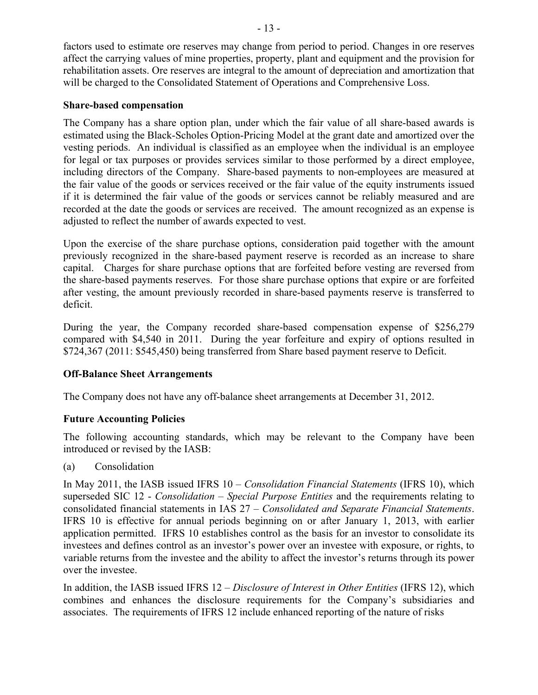factors used to estimate ore reserves may change from period to period. Changes in ore reserves affect the carrying values of mine properties, property, plant and equipment and the provision for rehabilitation assets. Ore reserves are integral to the amount of depreciation and amortization that will be charged to the Consolidated Statement of Operations and Comprehensive Loss.

### **Share-based compensation**

The Company has a share option plan, under which the fair value of all share-based awards is estimated using the Black-Scholes Option-Pricing Model at the grant date and amortized over the vesting periods. An individual is classified as an employee when the individual is an employee for legal or tax purposes or provides services similar to those performed by a direct employee, including directors of the Company. Share-based payments to non-employees are measured at the fair value of the goods or services received or the fair value of the equity instruments issued if it is determined the fair value of the goods or services cannot be reliably measured and are recorded at the date the goods or services are received. The amount recognized as an expense is adjusted to reflect the number of awards expected to vest.

Upon the exercise of the share purchase options, consideration paid together with the amount previously recognized in the share-based payment reserve is recorded as an increase to share capital. Charges for share purchase options that are forfeited before vesting are reversed from the share-based payments reserves. For those share purchase options that expire or are forfeited after vesting, the amount previously recorded in share-based payments reserve is transferred to deficit.

During the year, the Company recorded share-based compensation expense of \$256,279 compared with \$4,540 in 2011. During the year forfeiture and expiry of options resulted in \$724,367 (2011: \$545,450) being transferred from Share based payment reserve to Deficit.

# **Off-Balance Sheet Arrangements**

The Company does not have any off-balance sheet arrangements at December 31, 2012.

# **Future Accounting Policies**

The following accounting standards, which may be relevant to the Company have been introduced or revised by the IASB:

(a) Consolidation

In May 2011, the IASB issued IFRS 10 – *Consolidation Financial Statements* (IFRS 10), which superseded SIC 12 - *Consolidation – Special Purpose Entities* and the requirements relating to consolidated financial statements in IAS 27 – *Consolidated and Separate Financial Statements*. IFRS 10 is effective for annual periods beginning on or after January 1, 2013, with earlier application permitted. IFRS 10 establishes control as the basis for an investor to consolidate its investees and defines control as an investor's power over an investee with exposure, or rights, to variable returns from the investee and the ability to affect the investor's returns through its power over the investee.

In addition, the IASB issued IFRS 12 – *Disclosure of Interest in Other Entities* (IFRS 12), which combines and enhances the disclosure requirements for the Company's subsidiaries and associates. The requirements of IFRS 12 include enhanced reporting of the nature of risks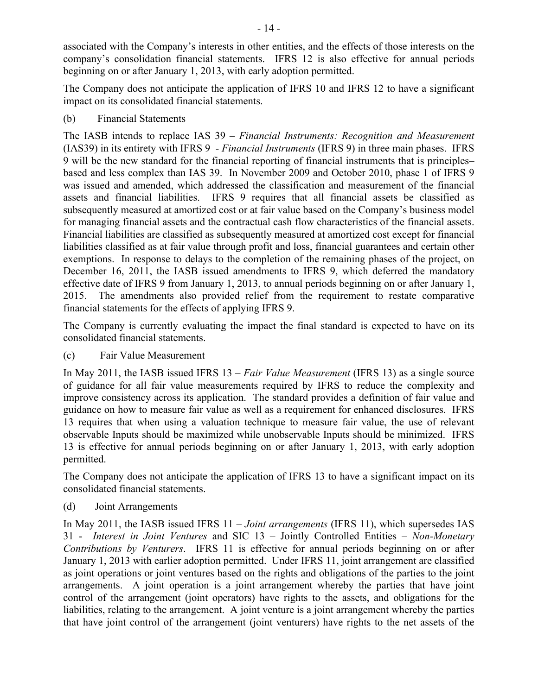associated with the Company's interests in other entities, and the effects of those interests on the company's consolidation financial statements. IFRS 12 is also effective for annual periods beginning on or after January 1, 2013, with early adoption permitted.

The Company does not anticipate the application of IFRS 10 and IFRS 12 to have a significant impact on its consolidated financial statements.

(b) Financial Statements

The IASB intends to replace IAS 39 – *Financial Instruments: Recognition and Measurement*  (IAS39) in its entirety with IFRS 9 - *Financial Instruments* (IFRS 9) in three main phases. IFRS 9 will be the new standard for the financial reporting of financial instruments that is principles– based and less complex than IAS 39. In November 2009 and October 2010, phase 1 of IFRS 9 was issued and amended, which addressed the classification and measurement of the financial assets and financial liabilities. IFRS 9 requires that all financial assets be classified as subsequently measured at amortized cost or at fair value based on the Company's business model for managing financial assets and the contractual cash flow characteristics of the financial assets. Financial liabilities are classified as subsequently measured at amortized cost except for financial liabilities classified as at fair value through profit and loss, financial guarantees and certain other exemptions. In response to delays to the completion of the remaining phases of the project, on December 16, 2011, the IASB issued amendments to IFRS 9, which deferred the mandatory effective date of IFRS 9 from January 1, 2013, to annual periods beginning on or after January 1, 2015. The amendments also provided relief from the requirement to restate comparative financial statements for the effects of applying IFRS 9.

The Company is currently evaluating the impact the final standard is expected to have on its consolidated financial statements.

(c) Fair Value Measurement

In May 2011, the IASB issued IFRS 13 – *Fair Value Measurement* (IFRS 13) as a single source of guidance for all fair value measurements required by IFRS to reduce the complexity and improve consistency across its application. The standard provides a definition of fair value and guidance on how to measure fair value as well as a requirement for enhanced disclosures. IFRS 13 requires that when using a valuation technique to measure fair value, the use of relevant observable Inputs should be maximized while unobservable Inputs should be minimized. IFRS 13 is effective for annual periods beginning on or after January 1, 2013, with early adoption permitted.

The Company does not anticipate the application of IFRS 13 to have a significant impact on its consolidated financial statements.

(d) Joint Arrangements

In May 2011, the IASB issued IFRS 11 – *Joint arrangements* (IFRS 11), which supersedes IAS 31 - *Interest in Joint Ventures* and SIC 13 – Jointly Controlled Entities – *Non-Monetary Contributions by Venturers*. IFRS 11 is effective for annual periods beginning on or after January 1, 2013 with earlier adoption permitted. Under IFRS 11, joint arrangement are classified as joint operations or joint ventures based on the rights and obligations of the parties to the joint arrangements. A joint operation is a joint arrangement whereby the parties that have joint control of the arrangement (joint operators) have rights to the assets, and obligations for the liabilities, relating to the arrangement. A joint venture is a joint arrangement whereby the parties that have joint control of the arrangement (joint venturers) have rights to the net assets of the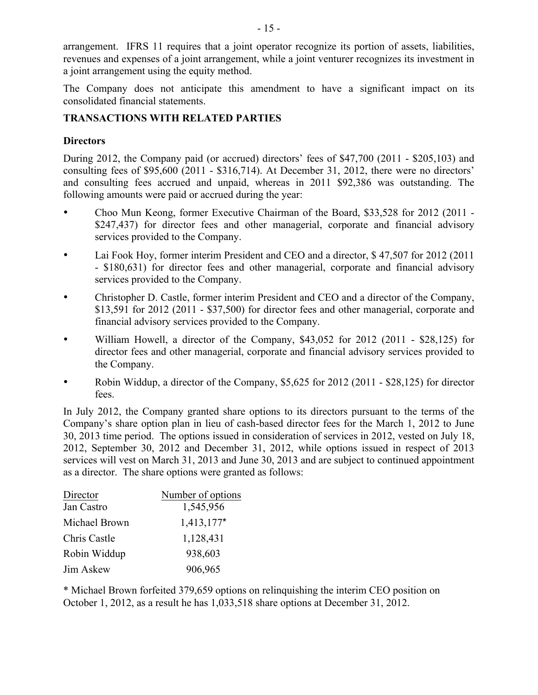arrangement. IFRS 11 requires that a joint operator recognize its portion of assets, liabilities, revenues and expenses of a joint arrangement, while a joint venturer recognizes its investment in a joint arrangement using the equity method.

The Company does not anticipate this amendment to have a significant impact on its consolidated financial statements.

# **TRANSACTIONS WITH RELATED PARTIES**

# **Directors**

During 2012, the Company paid (or accrued) directors' fees of \$47,700 (2011 - \$205,103) and consulting fees of \$95,600 (2011 - \$316,714). At December 31, 2012, there were no directors' and consulting fees accrued and unpaid, whereas in 2011 \$92,386 was outstanding. The following amounts were paid or accrued during the year:

- Choo Mun Keong, former Executive Chairman of the Board, \$33,528 for 2012 (2011 \$247,437) for director fees and other managerial, corporate and financial advisory services provided to the Company.
- Lai Fook Hoy, former interim President and CEO and a director, \$ 47,507 for 2012 (2011 - \$180,631) for director fees and other managerial, corporate and financial advisory services provided to the Company.
- Christopher D. Castle, former interim President and CEO and a director of the Company, \$13,591 for 2012 (2011 - \$37,500) for director fees and other managerial, corporate and financial advisory services provided to the Company.
- William Howell, a director of the Company, \$43,052 for 2012 (2011 \$28,125) for director fees and other managerial, corporate and financial advisory services provided to the Company.
- Robin Widdup, a director of the Company, \$5,625 for 2012 (2011 \$28,125) for director fees.

In July 2012, the Company granted share options to its directors pursuant to the terms of the Company's share option plan in lieu of cash-based director fees for the March 1, 2012 to June 30, 2013 time period. The options issued in consideration of services in 2012, vested on July 18, 2012, September 30, 2012 and December 31, 2012, while options issued in respect of 2013 services will vest on March 31, 2013 and June 30, 2013 and are subject to continued appointment as a director. The share options were granted as follows:

| Director      | Number of options |
|---------------|-------------------|
| Jan Castro    | 1,545,956         |
| Michael Brown | $1,413,177*$      |
| Chris Castle  | 1,128,431         |
| Robin Widdup  | 938,603           |
| Jim Askew     | 906,965           |

\* Michael Brown forfeited 379,659 options on relinquishing the interim CEO position on October 1, 2012, as a result he has 1,033,518 share options at December 31, 2012.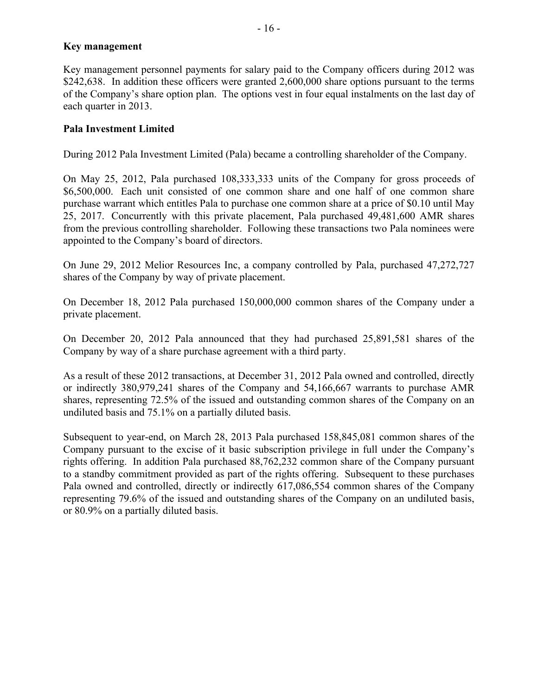### **Key management**

Key management personnel payments for salary paid to the Company officers during 2012 was \$242,638. In addition these officers were granted 2,600,000 share options pursuant to the terms of the Company's share option plan. The options vest in four equal instalments on the last day of each quarter in 2013.

# **Pala Investment Limited**

During 2012 Pala Investment Limited (Pala) became a controlling shareholder of the Company.

On May 25, 2012, Pala purchased 108,333,333 units of the Company for gross proceeds of \$6,500,000. Each unit consisted of one common share and one half of one common share purchase warrant which entitles Pala to purchase one common share at a price of \$0.10 until May 25, 2017. Concurrently with this private placement, Pala purchased 49,481,600 AMR shares from the previous controlling shareholder. Following these transactions two Pala nominees were appointed to the Company's board of directors.

On June 29, 2012 Melior Resources Inc, a company controlled by Pala, purchased 47,272,727 shares of the Company by way of private placement.

On December 18, 2012 Pala purchased 150,000,000 common shares of the Company under a private placement.

On December 20, 2012 Pala announced that they had purchased 25,891,581 shares of the Company by way of a share purchase agreement with a third party.

As a result of these 2012 transactions, at December 31, 2012 Pala owned and controlled, directly or indirectly 380,979,241 shares of the Company and 54,166,667 warrants to purchase AMR shares, representing 72.5% of the issued and outstanding common shares of the Company on an undiluted basis and 75.1% on a partially diluted basis.

Subsequent to year-end, on March 28, 2013 Pala purchased 158,845,081 common shares of the Company pursuant to the excise of it basic subscription privilege in full under the Company's rights offering. In addition Pala purchased 88,762,232 common share of the Company pursuant to a standby commitment provided as part of the rights offering. Subsequent to these purchases Pala owned and controlled, directly or indirectly 617,086,554 common shares of the Company representing 79.6% of the issued and outstanding shares of the Company on an undiluted basis, or 80.9% on a partially diluted basis.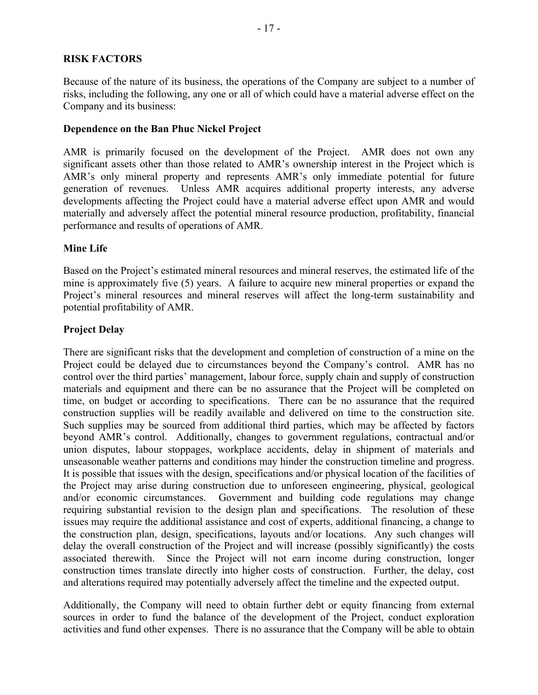### **RISK FACTORS**

Because of the nature of its business, the operations of the Company are subject to a number of risks, including the following, any one or all of which could have a material adverse effect on the Company and its business:

#### **Dependence on the Ban Phuc Nickel Project**

AMR is primarily focused on the development of the Project. AMR does not own any significant assets other than those related to AMR's ownership interest in the Project which is AMR's only mineral property and represents AMR's only immediate potential for future generation of revenues. Unless AMR acquires additional property interests, any adverse developments affecting the Project could have a material adverse effect upon AMR and would materially and adversely affect the potential mineral resource production, profitability, financial performance and results of operations of AMR.

### **Mine Life**

Based on the Project's estimated mineral resources and mineral reserves, the estimated life of the mine is approximately five (5) years. A failure to acquire new mineral properties or expand the Project's mineral resources and mineral reserves will affect the long-term sustainability and potential profitability of AMR.

### **Project Delay**

There are significant risks that the development and completion of construction of a mine on the Project could be delayed due to circumstances beyond the Company's control. AMR has no control over the third parties' management, labour force, supply chain and supply of construction materials and equipment and there can be no assurance that the Project will be completed on time, on budget or according to specifications. There can be no assurance that the required construction supplies will be readily available and delivered on time to the construction site. Such supplies may be sourced from additional third parties, which may be affected by factors beyond AMR's control. Additionally, changes to government regulations, contractual and/or union disputes, labour stoppages, workplace accidents, delay in shipment of materials and unseasonable weather patterns and conditions may hinder the construction timeline and progress. It is possible that issues with the design, specifications and/or physical location of the facilities of the Project may arise during construction due to unforeseen engineering, physical, geological and/or economic circumstances. Government and building code regulations may change requiring substantial revision to the design plan and specifications. The resolution of these issues may require the additional assistance and cost of experts, additional financing, a change to the construction plan, design, specifications, layouts and/or locations. Any such changes will delay the overall construction of the Project and will increase (possibly significantly) the costs associated therewith. Since the Project will not earn income during construction, longer construction times translate directly into higher costs of construction. Further, the delay, cost and alterations required may potentially adversely affect the timeline and the expected output.

Additionally, the Company will need to obtain further debt or equity financing from external sources in order to fund the balance of the development of the Project, conduct exploration activities and fund other expenses. There is no assurance that the Company will be able to obtain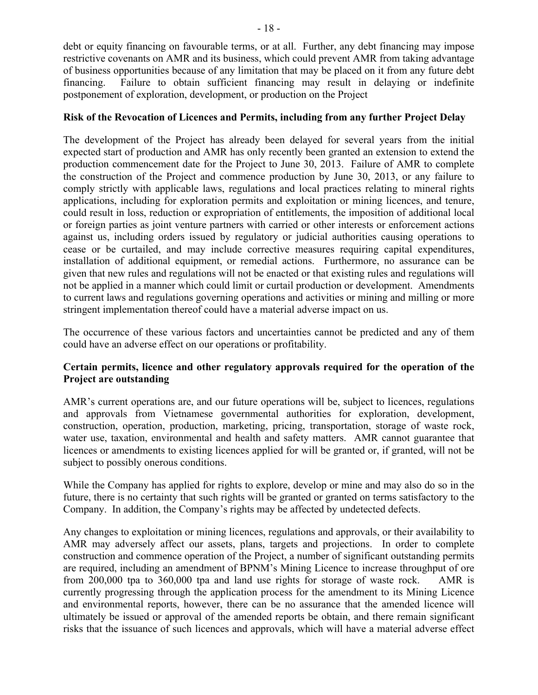debt or equity financing on favourable terms, or at all. Further, any debt financing may impose restrictive covenants on AMR and its business, which could prevent AMR from taking advantage of business opportunities because of any limitation that may be placed on it from any future debt financing. Failure to obtain sufficient financing may result in delaying or indefinite postponement of exploration, development, or production on the Project

## **Risk of the Revocation of Licences and Permits, including from any further Project Delay**

The development of the Project has already been delayed for several years from the initial expected start of production and AMR has only recently been granted an extension to extend the production commencement date for the Project to June 30, 2013. Failure of AMR to complete the construction of the Project and commence production by June 30, 2013, or any failure to comply strictly with applicable laws, regulations and local practices relating to mineral rights applications, including for exploration permits and exploitation or mining licences, and tenure, could result in loss, reduction or expropriation of entitlements, the imposition of additional local or foreign parties as joint venture partners with carried or other interests or enforcement actions against us, including orders issued by regulatory or judicial authorities causing operations to cease or be curtailed, and may include corrective measures requiring capital expenditures, installation of additional equipment, or remedial actions. Furthermore, no assurance can be given that new rules and regulations will not be enacted or that existing rules and regulations will not be applied in a manner which could limit or curtail production or development. Amendments to current laws and regulations governing operations and activities or mining and milling or more stringent implementation thereof could have a material adverse impact on us.

The occurrence of these various factors and uncertainties cannot be predicted and any of them could have an adverse effect on our operations or profitability.

# **Certain permits, licence and other regulatory approvals required for the operation of the Project are outstanding**

AMR's current operations are, and our future operations will be, subject to licences, regulations and approvals from Vietnamese governmental authorities for exploration, development, construction, operation, production, marketing, pricing, transportation, storage of waste rock, water use, taxation, environmental and health and safety matters. AMR cannot guarantee that licences or amendments to existing licences applied for will be granted or, if granted, will not be subject to possibly onerous conditions.

While the Company has applied for rights to explore, develop or mine and may also do so in the future, there is no certainty that such rights will be granted or granted on terms satisfactory to the Company. In addition, the Company's rights may be affected by undetected defects.

Any changes to exploitation or mining licences, regulations and approvals, or their availability to AMR may adversely affect our assets, plans, targets and projections. In order to complete construction and commence operation of the Project, a number of significant outstanding permits are required, including an amendment of BPNM's Mining Licence to increase throughput of ore from 200,000 tpa to 360,000 tpa and land use rights for storage of waste rock. AMR is currently progressing through the application process for the amendment to its Mining Licence and environmental reports, however, there can be no assurance that the amended licence will ultimately be issued or approval of the amended reports be obtain, and there remain significant risks that the issuance of such licences and approvals, which will have a material adverse effect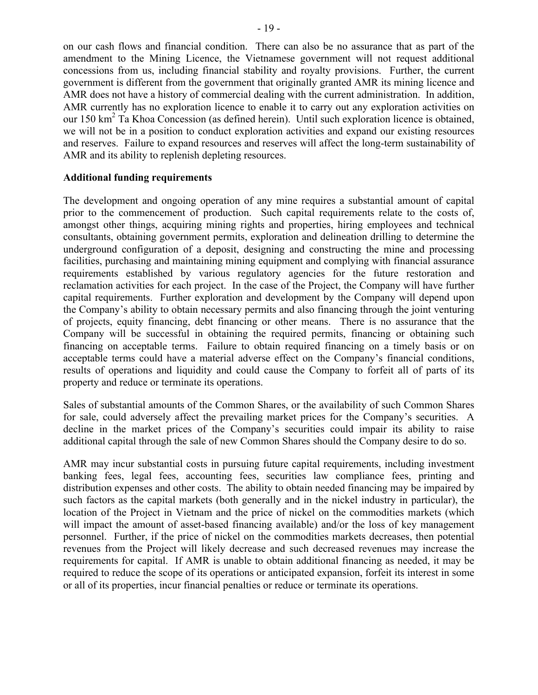on our cash flows and financial condition. There can also be no assurance that as part of the amendment to the Mining Licence, the Vietnamese government will not request additional concessions from us, including financial stability and royalty provisions. Further, the current government is different from the government that originally granted AMR its mining licence and AMR does not have a history of commercial dealing with the current administration. In addition, AMR currently has no exploration licence to enable it to carry out any exploration activities on our 150 km<sup>2</sup> Ta Khoa Concession (as defined herein). Until such exploration licence is obtained, we will not be in a position to conduct exploration activities and expand our existing resources and reserves. Failure to expand resources and reserves will affect the long-term sustainability of AMR and its ability to replenish depleting resources.

#### **Additional funding requirements**

The development and ongoing operation of any mine requires a substantial amount of capital prior to the commencement of production. Such capital requirements relate to the costs of, amongst other things, acquiring mining rights and properties, hiring employees and technical consultants, obtaining government permits, exploration and delineation drilling to determine the underground configuration of a deposit, designing and constructing the mine and processing facilities, purchasing and maintaining mining equipment and complying with financial assurance requirements established by various regulatory agencies for the future restoration and reclamation activities for each project. In the case of the Project, the Company will have further capital requirements. Further exploration and development by the Company will depend upon the Company's ability to obtain necessary permits and also financing through the joint venturing of projects, equity financing, debt financing or other means. There is no assurance that the Company will be successful in obtaining the required permits, financing or obtaining such financing on acceptable terms. Failure to obtain required financing on a timely basis or on acceptable terms could have a material adverse effect on the Company's financial conditions, results of operations and liquidity and could cause the Company to forfeit all of parts of its property and reduce or terminate its operations.

Sales of substantial amounts of the Common Shares, or the availability of such Common Shares for sale, could adversely affect the prevailing market prices for the Company's securities. A decline in the market prices of the Company's securities could impair its ability to raise additional capital through the sale of new Common Shares should the Company desire to do so.

AMR may incur substantial costs in pursuing future capital requirements, including investment banking fees, legal fees, accounting fees, securities law compliance fees, printing and distribution expenses and other costs. The ability to obtain needed financing may be impaired by such factors as the capital markets (both generally and in the nickel industry in particular), the location of the Project in Vietnam and the price of nickel on the commodities markets (which will impact the amount of asset-based financing available) and/or the loss of key management personnel. Further, if the price of nickel on the commodities markets decreases, then potential revenues from the Project will likely decrease and such decreased revenues may increase the requirements for capital. If AMR is unable to obtain additional financing as needed, it may be required to reduce the scope of its operations or anticipated expansion, forfeit its interest in some or all of its properties, incur financial penalties or reduce or terminate its operations.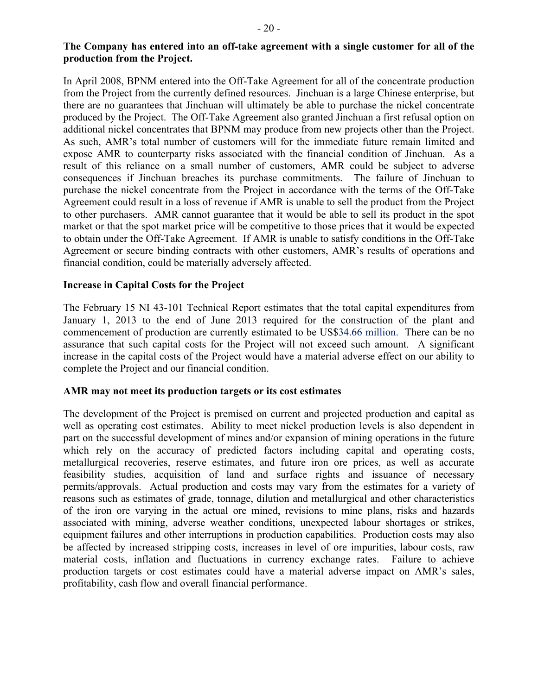## **The Company has entered into an off-take agreement with a single customer for all of the production from the Project.**

In April 2008, BPNM entered into the Off-Take Agreement for all of the concentrate production from the Project from the currently defined resources. Jinchuan is a large Chinese enterprise, but there are no guarantees that Jinchuan will ultimately be able to purchase the nickel concentrate produced by the Project. The Off-Take Agreement also granted Jinchuan a first refusal option on additional nickel concentrates that BPNM may produce from new projects other than the Project. As such, AMR's total number of customers will for the immediate future remain limited and expose AMR to counterparty risks associated with the financial condition of Jinchuan. As a result of this reliance on a small number of customers, AMR could be subject to adverse consequences if Jinchuan breaches its purchase commitments. The failure of Jinchuan to purchase the nickel concentrate from the Project in accordance with the terms of the Off-Take Agreement could result in a loss of revenue if AMR is unable to sell the product from the Project to other purchasers. AMR cannot guarantee that it would be able to sell its product in the spot market or that the spot market price will be competitive to those prices that it would be expected to obtain under the Off-Take Agreement. If AMR is unable to satisfy conditions in the Off-Take Agreement or secure binding contracts with other customers, AMR's results of operations and financial condition, could be materially adversely affected.

# **Increase in Capital Costs for the Project**

The February 15 NI 43-101 Technical Report estimates that the total capital expenditures from January 1, 2013 to the end of June 2013 required for the construction of the plant and commencement of production are currently estimated to be US\$34.66 million. There can be no assurance that such capital costs for the Project will not exceed such amount. A significant increase in the capital costs of the Project would have a material adverse effect on our ability to complete the Project and our financial condition.

# **AMR may not meet its production targets or its cost estimates**

The development of the Project is premised on current and projected production and capital as well as operating cost estimates. Ability to meet nickel production levels is also dependent in part on the successful development of mines and/or expansion of mining operations in the future which rely on the accuracy of predicted factors including capital and operating costs, metallurgical recoveries, reserve estimates, and future iron ore prices, as well as accurate feasibility studies, acquisition of land and surface rights and issuance of necessary permits/approvals. Actual production and costs may vary from the estimates for a variety of reasons such as estimates of grade, tonnage, dilution and metallurgical and other characteristics of the iron ore varying in the actual ore mined, revisions to mine plans, risks and hazards associated with mining, adverse weather conditions, unexpected labour shortages or strikes, equipment failures and other interruptions in production capabilities. Production costs may also be affected by increased stripping costs, increases in level of ore impurities, labour costs, raw material costs, inflation and fluctuations in currency exchange rates. Failure to achieve production targets or cost estimates could have a material adverse impact on AMR's sales, profitability, cash flow and overall financial performance.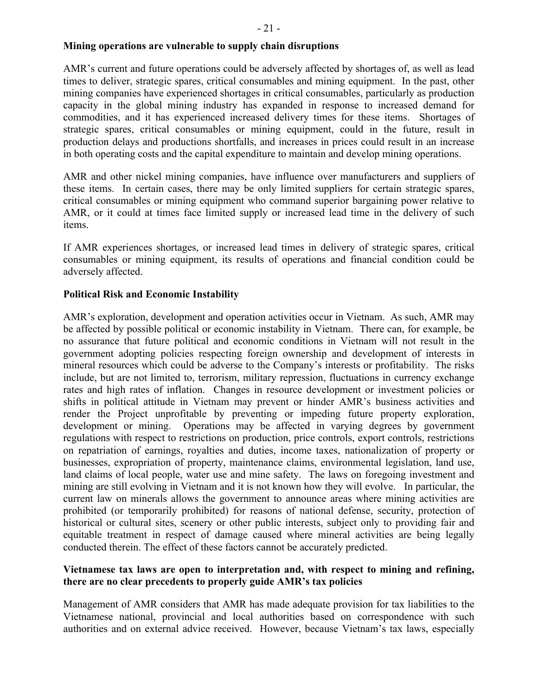### **Mining operations are vulnerable to supply chain disruptions**

AMR's current and future operations could be adversely affected by shortages of, as well as lead times to deliver, strategic spares, critical consumables and mining equipment. In the past, other mining companies have experienced shortages in critical consumables, particularly as production capacity in the global mining industry has expanded in response to increased demand for commodities, and it has experienced increased delivery times for these items. Shortages of strategic spares, critical consumables or mining equipment, could in the future, result in production delays and productions shortfalls, and increases in prices could result in an increase in both operating costs and the capital expenditure to maintain and develop mining operations.

AMR and other nickel mining companies, have influence over manufacturers and suppliers of these items. In certain cases, there may be only limited suppliers for certain strategic spares, critical consumables or mining equipment who command superior bargaining power relative to AMR, or it could at times face limited supply or increased lead time in the delivery of such items.

If AMR experiences shortages, or increased lead times in delivery of strategic spares, critical consumables or mining equipment, its results of operations and financial condition could be adversely affected.

## **Political Risk and Economic Instability**

AMR's exploration, development and operation activities occur in Vietnam. As such, AMR may be affected by possible political or economic instability in Vietnam. There can, for example, be no assurance that future political and economic conditions in Vietnam will not result in the government adopting policies respecting foreign ownership and development of interests in mineral resources which could be adverse to the Company's interests or profitability. The risks include, but are not limited to, terrorism, military repression, fluctuations in currency exchange rates and high rates of inflation. Changes in resource development or investment policies or shifts in political attitude in Vietnam may prevent or hinder AMR's business activities and render the Project unprofitable by preventing or impeding future property exploration, development or mining. Operations may be affected in varying degrees by government regulations with respect to restrictions on production, price controls, export controls, restrictions on repatriation of earnings, royalties and duties, income taxes, nationalization of property or businesses, expropriation of property, maintenance claims, environmental legislation, land use, land claims of local people, water use and mine safety. The laws on foregoing investment and mining are still evolving in Vietnam and it is not known how they will evolve. In particular, the current law on minerals allows the government to announce areas where mining activities are prohibited (or temporarily prohibited) for reasons of national defense, security, protection of historical or cultural sites, scenery or other public interests, subject only to providing fair and equitable treatment in respect of damage caused where mineral activities are being legally conducted therein. The effect of these factors cannot be accurately predicted.

# **Vietnamese tax laws are open to interpretation and, with respect to mining and refining, there are no clear precedents to properly guide AMR's tax policies**

Management of AMR considers that AMR has made adequate provision for tax liabilities to the Vietnamese national, provincial and local authorities based on correspondence with such authorities and on external advice received. However, because Vietnam's tax laws, especially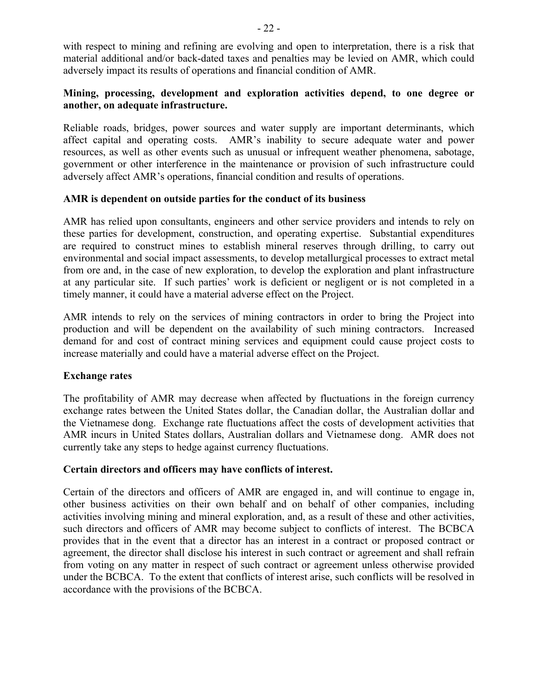with respect to mining and refining are evolving and open to interpretation, there is a risk that material additional and/or back-dated taxes and penalties may be levied on AMR, which could adversely impact its results of operations and financial condition of AMR.

## **Mining, processing, development and exploration activities depend, to one degree or another, on adequate infrastructure.**

Reliable roads, bridges, power sources and water supply are important determinants, which affect capital and operating costs. AMR's inability to secure adequate water and power resources, as well as other events such as unusual or infrequent weather phenomena, sabotage, government or other interference in the maintenance or provision of such infrastructure could adversely affect AMR's operations, financial condition and results of operations.

## **AMR is dependent on outside parties for the conduct of its business**

AMR has relied upon consultants, engineers and other service providers and intends to rely on these parties for development, construction, and operating expertise. Substantial expenditures are required to construct mines to establish mineral reserves through drilling, to carry out environmental and social impact assessments, to develop metallurgical processes to extract metal from ore and, in the case of new exploration, to develop the exploration and plant infrastructure at any particular site. If such parties' work is deficient or negligent or is not completed in a timely manner, it could have a material adverse effect on the Project.

AMR intends to rely on the services of mining contractors in order to bring the Project into production and will be dependent on the availability of such mining contractors. Increased demand for and cost of contract mining services and equipment could cause project costs to increase materially and could have a material adverse effect on the Project.

### **Exchange rates**

The profitability of AMR may decrease when affected by fluctuations in the foreign currency exchange rates between the United States dollar, the Canadian dollar, the Australian dollar and the Vietnamese dong. Exchange rate fluctuations affect the costs of development activities that AMR incurs in United States dollars, Australian dollars and Vietnamese dong. AMR does not currently take any steps to hedge against currency fluctuations.

### **Certain directors and officers may have conflicts of interest.**

Certain of the directors and officers of AMR are engaged in, and will continue to engage in, other business activities on their own behalf and on behalf of other companies, including activities involving mining and mineral exploration, and, as a result of these and other activities, such directors and officers of AMR may become subject to conflicts of interest. The BCBCA provides that in the event that a director has an interest in a contract or proposed contract or agreement, the director shall disclose his interest in such contract or agreement and shall refrain from voting on any matter in respect of such contract or agreement unless otherwise provided under the BCBCA. To the extent that conflicts of interest arise, such conflicts will be resolved in accordance with the provisions of the BCBCA.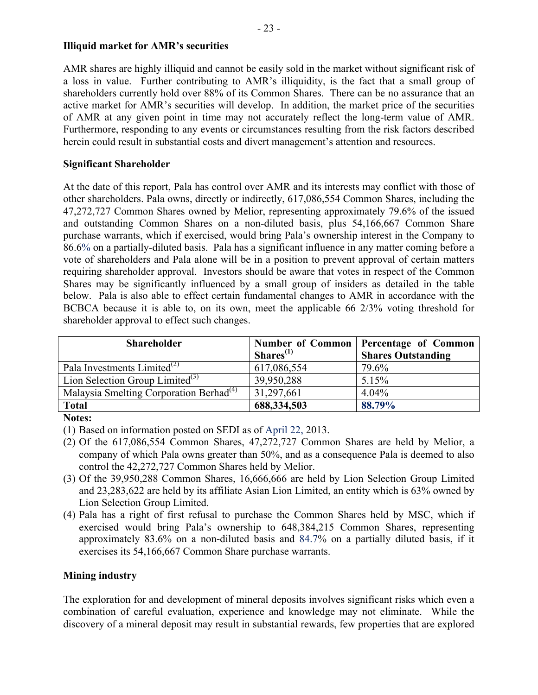## **Illiquid market for AMR's securities**

AMR shares are highly illiquid and cannot be easily sold in the market without significant risk of a loss in value. Further contributing to AMR's illiquidity, is the fact that a small group of shareholders currently hold over 88% of its Common Shares. There can be no assurance that an active market for AMR's securities will develop. In addition, the market price of the securities of AMR at any given point in time may not accurately reflect the long-term value of AMR. Furthermore, responding to any events or circumstances resulting from the risk factors described herein could result in substantial costs and divert management's attention and resources.

# **Significant Shareholder**

At the date of this report, Pala has control over AMR and its interests may conflict with those of other shareholders. Pala owns, directly or indirectly, 617,086,554 Common Shares, including the 47,272,727 Common Shares owned by Melior, representing approximately 79.6% of the issued and outstanding Common Shares on a non-diluted basis, plus 54,166,667 Common Share purchase warrants, which if exercised, would bring Pala's ownership interest in the Company to 86.6% on a partially-diluted basis. Pala has a significant influence in any matter coming before a vote of shareholders and Pala alone will be in a position to prevent approval of certain matters requiring shareholder approval. Investors should be aware that votes in respect of the Common Shares may be significantly influenced by a small group of insiders as detailed in the table below. Pala is also able to effect certain fundamental changes to AMR in accordance with the BCBCA because it is able to, on its own, meet the applicable 66 2/3% voting threshold for shareholder approval to effect such changes.

| <b>Shareholder</b>                                  | Shares <sup>(1)</sup> | Number of Common   Percentage of Common<br><b>Shares Outstanding</b> |
|-----------------------------------------------------|-----------------------|----------------------------------------------------------------------|
| Pala Investments Limited $^{(2)}$                   | 617,086,554           | 79.6%                                                                |
| Lion Selection Group Limited $^{(3)}$               | 39,950,288            | 5.15%                                                                |
| Malaysia Smelting Corporation Berhad <sup>(4)</sup> | 31,297,661            | 4.04%                                                                |
| <b>Total</b>                                        | 688,334,503           | 88.79%                                                               |

### **Notes:**

(1) Based on information posted on SEDI as of April 22, 2013.

- (2) Of the 617,086,554 Common Shares, 47,272,727 Common Shares are held by Melior, a company of which Pala owns greater than 50%, and as a consequence Pala is deemed to also control the 42,272,727 Common Shares held by Melior.
- (3) Of the 39,950,288 Common Shares, 16,666,666 are held by Lion Selection Group Limited and 23,283,622 are held by its affiliate Asian Lion Limited, an entity which is 63% owned by Lion Selection Group Limited.
- (4) Pala has a right of first refusal to purchase the Common Shares held by MSC, which if exercised would bring Pala's ownership to 648,384,215 Common Shares, representing approximately 83.6% on a non-diluted basis and 84.7% on a partially diluted basis, if it exercises its 54,166,667 Common Share purchase warrants.

# **Mining industry**

The exploration for and development of mineral deposits involves significant risks which even a combination of careful evaluation, experience and knowledge may not eliminate. While the discovery of a mineral deposit may result in substantial rewards, few properties that are explored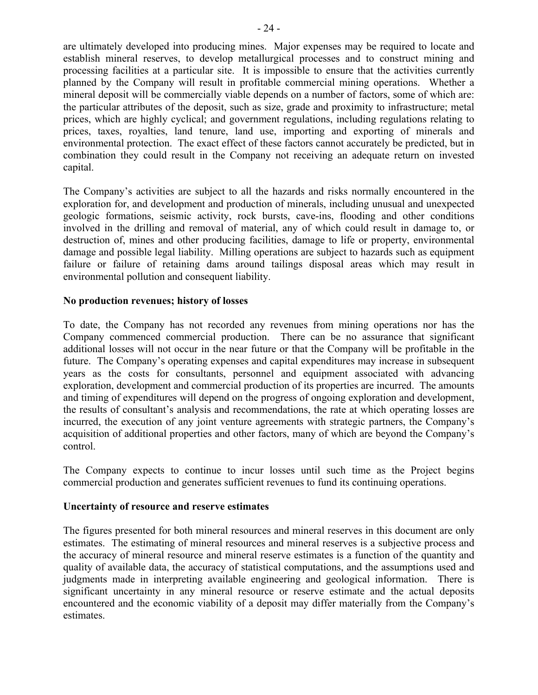are ultimately developed into producing mines. Major expenses may be required to locate and establish mineral reserves, to develop metallurgical processes and to construct mining and processing facilities at a particular site. It is impossible to ensure that the activities currently planned by the Company will result in profitable commercial mining operations. Whether a mineral deposit will be commercially viable depends on a number of factors, some of which are: the particular attributes of the deposit, such as size, grade and proximity to infrastructure; metal prices, which are highly cyclical; and government regulations, including regulations relating to prices, taxes, royalties, land tenure, land use, importing and exporting of minerals and environmental protection. The exact effect of these factors cannot accurately be predicted, but in combination they could result in the Company not receiving an adequate return on invested capital.

The Company's activities are subject to all the hazards and risks normally encountered in the exploration for, and development and production of minerals, including unusual and unexpected geologic formations, seismic activity, rock bursts, cave-ins, flooding and other conditions involved in the drilling and removal of material, any of which could result in damage to, or destruction of, mines and other producing facilities, damage to life or property, environmental damage and possible legal liability. Milling operations are subject to hazards such as equipment failure or failure of retaining dams around tailings disposal areas which may result in environmental pollution and consequent liability.

## **No production revenues; history of losses**

To date, the Company has not recorded any revenues from mining operations nor has the Company commenced commercial production. There can be no assurance that significant additional losses will not occur in the near future or that the Company will be profitable in the future. The Company's operating expenses and capital expenditures may increase in subsequent years as the costs for consultants, personnel and equipment associated with advancing exploration, development and commercial production of its properties are incurred. The amounts and timing of expenditures will depend on the progress of ongoing exploration and development, the results of consultant's analysis and recommendations, the rate at which operating losses are incurred, the execution of any joint venture agreements with strategic partners, the Company's acquisition of additional properties and other factors, many of which are beyond the Company's control.

The Company expects to continue to incur losses until such time as the Project begins commercial production and generates sufficient revenues to fund its continuing operations.

### **Uncertainty of resource and reserve estimates**

The figures presented for both mineral resources and mineral reserves in this document are only estimates. The estimating of mineral resources and mineral reserves is a subjective process and the accuracy of mineral resource and mineral reserve estimates is a function of the quantity and quality of available data, the accuracy of statistical computations, and the assumptions used and judgments made in interpreting available engineering and geological information. There is significant uncertainty in any mineral resource or reserve estimate and the actual deposits encountered and the economic viability of a deposit may differ materially from the Company's estimates.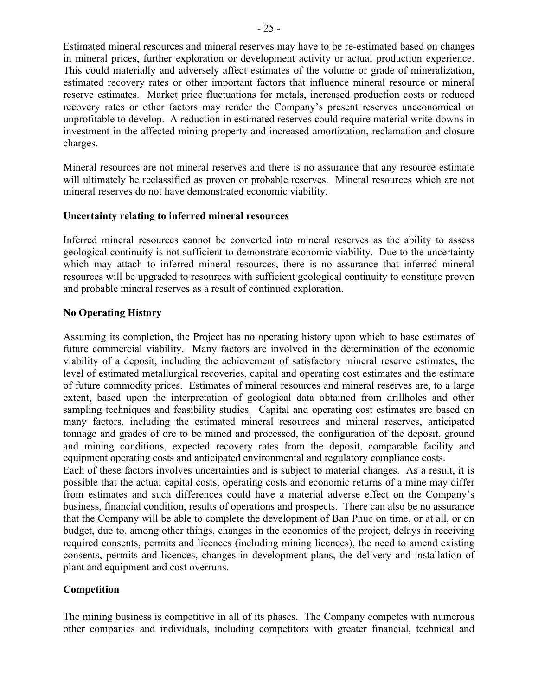Estimated mineral resources and mineral reserves may have to be re-estimated based on changes in mineral prices, further exploration or development activity or actual production experience. This could materially and adversely affect estimates of the volume or grade of mineralization, estimated recovery rates or other important factors that influence mineral resource or mineral reserve estimates. Market price fluctuations for metals, increased production costs or reduced recovery rates or other factors may render the Company's present reserves uneconomical or unprofitable to develop. A reduction in estimated reserves could require material write-downs in investment in the affected mining property and increased amortization, reclamation and closure charges.

Mineral resources are not mineral reserves and there is no assurance that any resource estimate will ultimately be reclassified as proven or probable reserves. Mineral resources which are not mineral reserves do not have demonstrated economic viability.

## **Uncertainty relating to inferred mineral resources**

Inferred mineral resources cannot be converted into mineral reserves as the ability to assess geological continuity is not sufficient to demonstrate economic viability. Due to the uncertainty which may attach to inferred mineral resources, there is no assurance that inferred mineral resources will be upgraded to resources with sufficient geological continuity to constitute proven and probable mineral reserves as a result of continued exploration.

## **No Operating History**

Assuming its completion, the Project has no operating history upon which to base estimates of future commercial viability. Many factors are involved in the determination of the economic viability of a deposit, including the achievement of satisfactory mineral reserve estimates, the level of estimated metallurgical recoveries, capital and operating cost estimates and the estimate of future commodity prices. Estimates of mineral resources and mineral reserves are, to a large extent, based upon the interpretation of geological data obtained from drillholes and other sampling techniques and feasibility studies. Capital and operating cost estimates are based on many factors, including the estimated mineral resources and mineral reserves, anticipated tonnage and grades of ore to be mined and processed, the configuration of the deposit, ground and mining conditions, expected recovery rates from the deposit, comparable facility and equipment operating costs and anticipated environmental and regulatory compliance costs.

Each of these factors involves uncertainties and is subject to material changes. As a result, it is possible that the actual capital costs, operating costs and economic returns of a mine may differ from estimates and such differences could have a material adverse effect on the Company's business, financial condition, results of operations and prospects. There can also be no assurance that the Company will be able to complete the development of Ban Phuc on time, or at all, or on budget, due to, among other things, changes in the economics of the project, delays in receiving required consents, permits and licences (including mining licences), the need to amend existing consents, permits and licences, changes in development plans, the delivery and installation of plant and equipment and cost overruns.

# **Competition**

The mining business is competitive in all of its phases. The Company competes with numerous other companies and individuals, including competitors with greater financial, technical and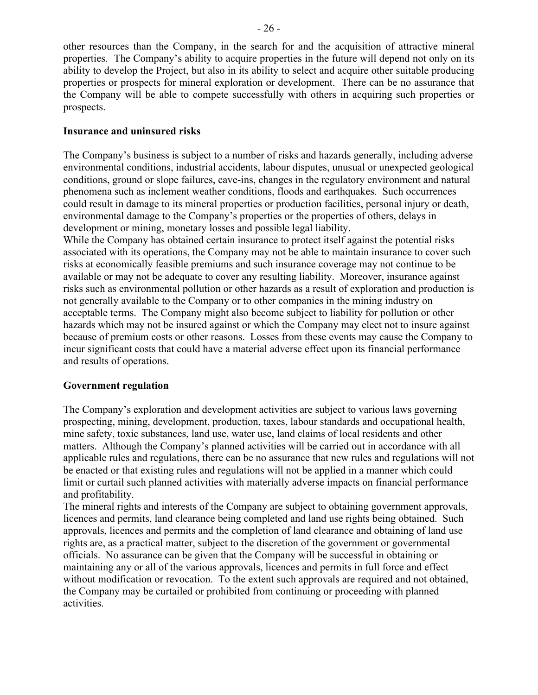other resources than the Company, in the search for and the acquisition of attractive mineral properties. The Company's ability to acquire properties in the future will depend not only on its ability to develop the Project, but also in its ability to select and acquire other suitable producing properties or prospects for mineral exploration or development. There can be no assurance that the Company will be able to compete successfully with others in acquiring such properties or prospects.

# **Insurance and uninsured risks**

The Company's business is subject to a number of risks and hazards generally, including adverse environmental conditions, industrial accidents, labour disputes, unusual or unexpected geological conditions, ground or slope failures, cave-ins, changes in the regulatory environment and natural phenomena such as inclement weather conditions, floods and earthquakes. Such occurrences could result in damage to its mineral properties or production facilities, personal injury or death, environmental damage to the Company's properties or the properties of others, delays in development or mining, monetary losses and possible legal liability.

While the Company has obtained certain insurance to protect itself against the potential risks associated with its operations, the Company may not be able to maintain insurance to cover such risks at economically feasible premiums and such insurance coverage may not continue to be available or may not be adequate to cover any resulting liability. Moreover, insurance against risks such as environmental pollution or other hazards as a result of exploration and production is not generally available to the Company or to other companies in the mining industry on acceptable terms. The Company might also become subject to liability for pollution or other hazards which may not be insured against or which the Company may elect not to insure against because of premium costs or other reasons. Losses from these events may cause the Company to incur significant costs that could have a material adverse effect upon its financial performance and results of operations.

# **Government regulation**

The Company's exploration and development activities are subject to various laws governing prospecting, mining, development, production, taxes, labour standards and occupational health, mine safety, toxic substances, land use, water use, land claims of local residents and other matters. Although the Company's planned activities will be carried out in accordance with all applicable rules and regulations, there can be no assurance that new rules and regulations will not be enacted or that existing rules and regulations will not be applied in a manner which could limit or curtail such planned activities with materially adverse impacts on financial performance and profitability.

The mineral rights and interests of the Company are subject to obtaining government approvals, licences and permits, land clearance being completed and land use rights being obtained. Such approvals, licences and permits and the completion of land clearance and obtaining of land use rights are, as a practical matter, subject to the discretion of the government or governmental officials. No assurance can be given that the Company will be successful in obtaining or maintaining any or all of the various approvals, licences and permits in full force and effect without modification or revocation. To the extent such approvals are required and not obtained, the Company may be curtailed or prohibited from continuing or proceeding with planned activities.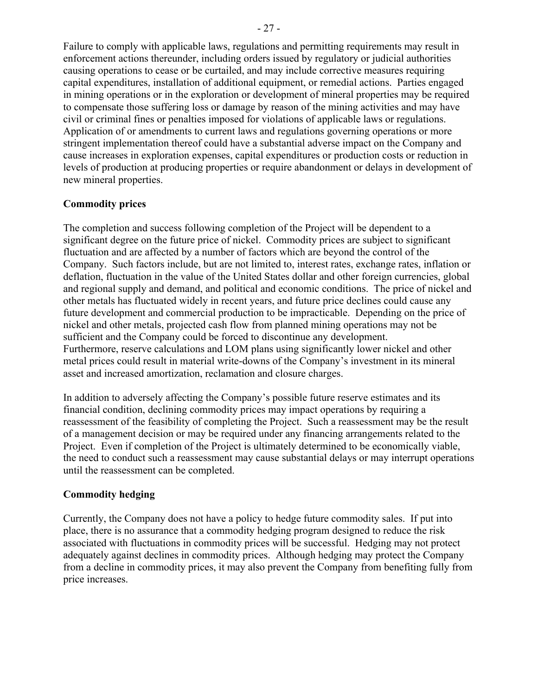Failure to comply with applicable laws, regulations and permitting requirements may result in enforcement actions thereunder, including orders issued by regulatory or judicial authorities causing operations to cease or be curtailed, and may include corrective measures requiring capital expenditures, installation of additional equipment, or remedial actions. Parties engaged in mining operations or in the exploration or development of mineral properties may be required to compensate those suffering loss or damage by reason of the mining activities and may have civil or criminal fines or penalties imposed for violations of applicable laws or regulations. Application of or amendments to current laws and regulations governing operations or more stringent implementation thereof could have a substantial adverse impact on the Company and cause increases in exploration expenses, capital expenditures or production costs or reduction in levels of production at producing properties or require abandonment or delays in development of new mineral properties.

# **Commodity prices**

The completion and success following completion of the Project will be dependent to a significant degree on the future price of nickel. Commodity prices are subject to significant fluctuation and are affected by a number of factors which are beyond the control of the Company. Such factors include, but are not limited to, interest rates, exchange rates, inflation or deflation, fluctuation in the value of the United States dollar and other foreign currencies, global and regional supply and demand, and political and economic conditions. The price of nickel and other metals has fluctuated widely in recent years, and future price declines could cause any future development and commercial production to be impracticable. Depending on the price of nickel and other metals, projected cash flow from planned mining operations may not be sufficient and the Company could be forced to discontinue any development. Furthermore, reserve calculations and LOM plans using significantly lower nickel and other metal prices could result in material write-downs of the Company's investment in its mineral asset and increased amortization, reclamation and closure charges.

In addition to adversely affecting the Company's possible future reserve estimates and its financial condition, declining commodity prices may impact operations by requiring a reassessment of the feasibility of completing the Project. Such a reassessment may be the result of a management decision or may be required under any financing arrangements related to the Project. Even if completion of the Project is ultimately determined to be economically viable, the need to conduct such a reassessment may cause substantial delays or may interrupt operations until the reassessment can be completed.

### **Commodity hedging**

Currently, the Company does not have a policy to hedge future commodity sales. If put into place, there is no assurance that a commodity hedging program designed to reduce the risk associated with fluctuations in commodity prices will be successful. Hedging may not protect adequately against declines in commodity prices. Although hedging may protect the Company from a decline in commodity prices, it may also prevent the Company from benefiting fully from price increases.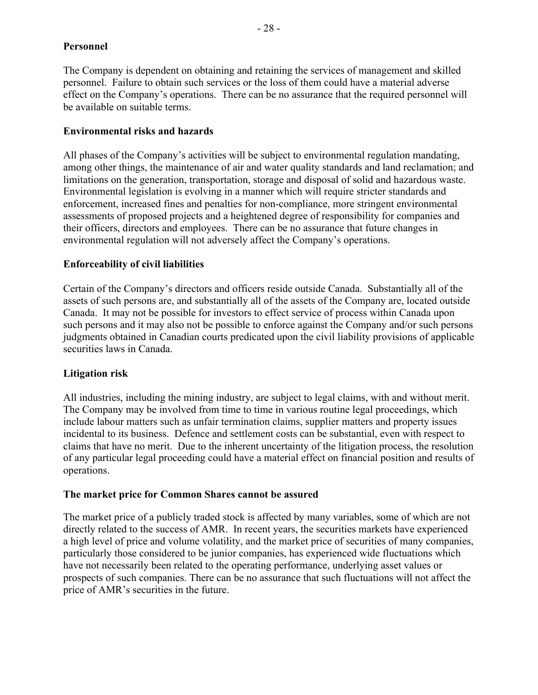## **Personnel**

The Company is dependent on obtaining and retaining the services of management and skilled personnel. Failure to obtain such services or the loss of them could have a material adverse effect on the Company's operations. There can be no assurance that the required personnel will be available on suitable terms.

## **Environmental risks and hazards**

All phases of the Company's activities will be subject to environmental regulation mandating, among other things, the maintenance of air and water quality standards and land reclamation; and limitations on the generation, transportation, storage and disposal of solid and hazardous waste. Environmental legislation is evolving in a manner which will require stricter standards and enforcement, increased fines and penalties for non-compliance, more stringent environmental assessments of proposed projects and a heightened degree of responsibility for companies and their officers, directors and employees. There can be no assurance that future changes in environmental regulation will not adversely affect the Company's operations.

# **Enforceability of civil liabilities**

Certain of the Company's directors and officers reside outside Canada. Substantially all of the assets of such persons are, and substantially all of the assets of the Company are, located outside Canada. It may not be possible for investors to effect service of process within Canada upon such persons and it may also not be possible to enforce against the Company and/or such persons judgments obtained in Canadian courts predicated upon the civil liability provisions of applicable securities laws in Canada.

### **Litigation risk**

All industries, including the mining industry, are subject to legal claims, with and without merit. The Company may be involved from time to time in various routine legal proceedings, which include labour matters such as unfair termination claims, supplier matters and property issues incidental to its business. Defence and settlement costs can be substantial, even with respect to claims that have no merit. Due to the inherent uncertainty of the litigation process, the resolution of any particular legal proceeding could have a material effect on financial position and results of operations.

### **The market price for Common Shares cannot be assured**

The market price of a publicly traded stock is affected by many variables, some of which are not directly related to the success of AMR. In recent years, the securities markets have experienced a high level of price and volume volatility, and the market price of securities of many companies, particularly those considered to be junior companies, has experienced wide fluctuations which have not necessarily been related to the operating performance, underlying asset values or prospects of such companies. There can be no assurance that such fluctuations will not affect the price of AMR's securities in the future.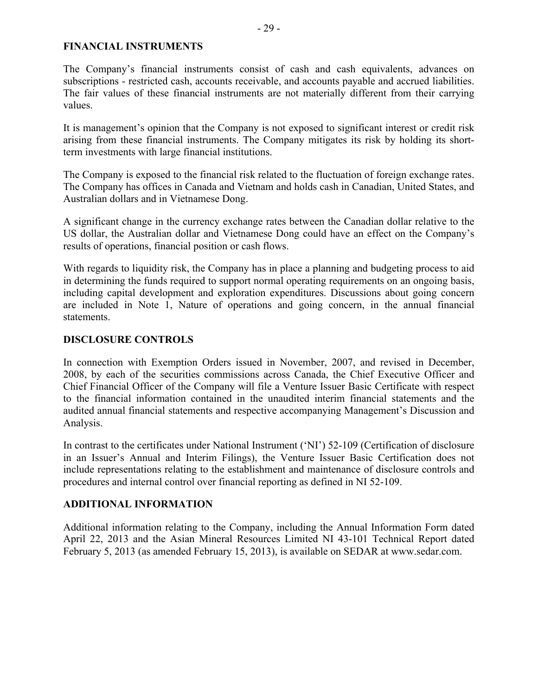#### **FINANCIAL INSTRUMENTS**

The Company's financial instruments consist of cash and cash equivalents, advances on subscriptions - restricted cash, accounts receivable, and accounts payable and accrued liabilities. The fair values of these financial instruments are not materially different from their carrying values.

It is management's opinion that the Company is not exposed to significant interest or credit risk arising from these financial instruments. The Company mitigates its risk by holding its shortterm investments with large financial institutions.

The Company is exposed to the financial risk related to the fluctuation of foreign exchange rates. The Company has offices in Canada and Vietnam and holds cash in Canadian, United States, and Australian dollars and in Vietnamese Dong.

A significant change in the currency exchange rates between the Canadian dollar relative to the US dollar, the Australian dollar and Vietnamese Dong could have an effect on the Company's results of operations, financial position or cash flows.

With regards to liquidity risk, the Company has in place a planning and budgeting process to aid in determining the funds required to support normal operating requirements on an ongoing basis, including capital development and exploration expenditures. Discussions about going concern are included in Note 1, Nature of operations and going concern, in the annual financial statements.

## **DISCLOSURE CONTROLS**

In connection with Exemption Orders issued in November, 2007, and revised in December, 2008, by each of the securities commissions across Canada, the Chief Executive Officer and Chief Financial Officer of the Company will file a Venture Issuer Basic Certificate with respect to the financial information contained in the unaudited interim financial statements and the audited annual financial statements and respective accompanying Management's Discussion and Analysis.

In contrast to the certificates under National Instrument ('NI') 52-109 (Certification of disclosure in an Issuer's Annual and Interim Filings), the Venture Issuer Basic Certification does not include representations relating to the establishment and maintenance of disclosure controls and procedures and internal control over financial reporting as defined in NI 52-109.

# **ADDITIONAL INFORMATION**

Additional information relating to the Company, including the Annual Information Form dated April 22, 2013 and the Asian Mineral Resources Limited NI 43-101 Technical Report dated February 5, 2013 (as amended February 15, 2013), is available on SEDAR at www.sedar.com.